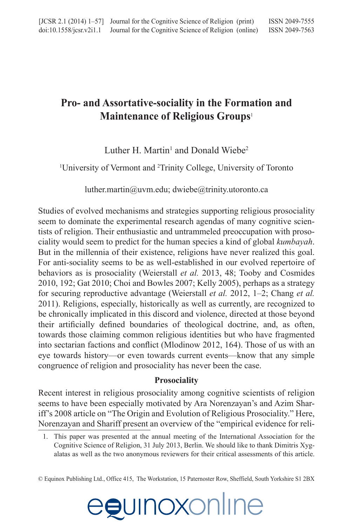### **Pro- and Assortative-sociality in the Formation and Maintenance of Religious Groups**<sup>1</sup>

Luther H. Martin<sup>1</sup> and Donald Wiebe<sup>2</sup>

1 University of Vermont and 2 Trinity College, University of Toronto

[luther.martin@uvm.edu;](luther.martin@uvm.edu) <dwiebe@trinity.utoronto.ca>

Studies of evolved mechanisms and strategies supporting religious prosociality seem to dominate the experimental research agendas of many cognitive scientists of religion. Their enthusiastic and untrammeled preoccupation with prosociality would seem to predict for the human species a kind of global *kumbayah*. But in the millennia of their existence, religions have never realized this goal. For anti-sociality seems to be as well-established in our evolved repertoire of behaviors as is prosociality (Weierstall *et al.* 2013, 48; Tooby and Cosmides 2010, 192; Gat 2010; Choi and Bowles 2007; Kelly 2005), perhaps as a strategy for securing reproductive advantage (Weierstall *et al.* 2012, 1–2; Chang *et al.* 2011). Religions, especially, historically as well as currently, are recognized to be chronically implicated in this discord and violence, directed at those beyond their artificially defined boundaries of theological doctrine, and, as often, towards those claiming common religious identities but who have fragmented into sectarian factions and conflict (Mlodinow 2012, 164). Those of us with an eye towards history—or even towards current events—know that any simple congruence of religion and prosociality has never been the case.

#### **Prosociality**

Recent interest in religious prosociality among cognitive scientists of religion seems to have been especially motivated by Ara Norenzayan's and Azim Shariff's 2008 article on "The Origin and Evolution of Religious Prosociality." Here, Norenzayan and Shariff present an overview of the "empirical evidence for reli-

<sup>©</sup> Equinox Publishing Ltd., Office 415, The Workstation, 15 Paternoster Row, Sheffield, South Yorkshire S1 2BX



<sup>1.</sup> This paper was presented at the annual meeting of the International Association for the Cognitive Science of Religion, 31 July 2013, Berlin. We should like to thank Dimitris Xygalatas as well as the two anonymous reviewers for their critical assessments of this article.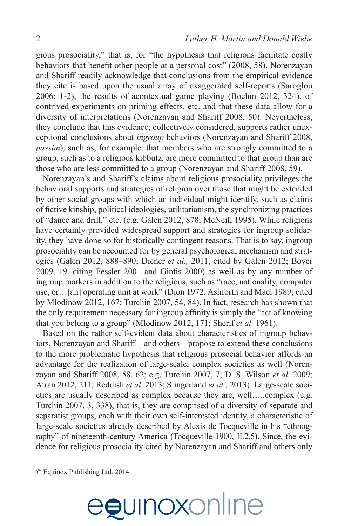gious prosociality," that is, for "the hypothesis that religions facilitate costly behaviors that benefit other people at a personal cost" (2008, 58). Norenzayan and Shariff readily acknowledge that conclusions from the empirical evidence they cite is based upon the usual array of exaggerated self-reports (Saroglou 2006: 1-2), the results of acontextual game playing (Boehm 2012, 324), of contrived experiments on priming effects, etc. and that these data allow for a diversity of interpretations (Norenzayan and Shariff 2008, 50). Nevertheless, they conclude that this evidence, collectively considered, supports rather unexceptional conclusions about *ingroup* behaviors (Norenzayan and Shariff 2008, *passim*), such as, for example, that members who are strongly committed to a group, such as to a religious kibbutz, are more committed to that group than are those who are less committed to a group (Norenzayan and Shariff 2008, 59).

Norenzayan's and Shariff's claims about religious prosociality privileges the behavioral supports and strategies of religion over those that might be extended by other social groups with which an individual might identify, such as claims of fictive kinship, political ideologies, utilitarianism, the synchronizing practices of "dance and drill," etc. (e.g. Galen 2012, 878; McNeill 1995). While religions have certainly provided widespread support and strategies for ingroup solidarity, they have done so for historically contingent reasons. That is to say, ingroup prosociality can be accounted for by general psychological mechanism and strategies (Galen 2012, 888–890; Diener *et al.,* 2011, cited by Galen 2012; Boyer 2009, 19, citing Fessler 2001 and Gintis 2000) as well as by any number of ingroup markers in addition to the religious, such as "race, nationality, computer use, or…[an] operating unit at work" (Dion 1972; Ashforth and Mael 1989; cited by Mlodinow 2012, 167; Turchin 2007, 54, 84). In fact, research has shown that the only requirement necessary for ingroup affinity is simply the "act of knowing that you belong to a group" (Mlodinow 2012, 171; Sherif *et al.* 1961).

Based on the rather self-evident data about characteristics of ingroup behaviors, Norenzayan and Shariff—and others—propose to extend these conclusions to the more problematic hypothesis that religious prosocial behavior affords an advantage for the realization of large-scale, complex societies as well (Norenzayan and Shariff 2008, 58, 62; e.g. Turchin 2007, 7; D. S. Wilson *et al.* 2009; Atran 2012, 211; Reddish *et al.* 2013; Slingerland *et al.*, 2013). Large-scale societies are usually described as complex because they are, well…..complex (e.g. Turchin 2007, 3, 338), that is, they are comprised of a diversity of separate and separatist groups, each with their own self-interested identity, a characteristic of large-scale societies already described by Alexis de Tocqueville in his "ethnography" of nineteenth-century America (Tocqueville 1900, II.2.5). Since, the evidence for religious prosociality cited by Norenzayan and Shariff and others only

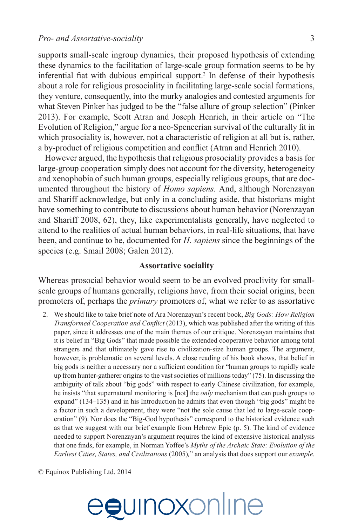supports small-scale ingroup dynamics, their proposed hypothesis of extending these dynamics to the facilitation of large-scale group formation seems to be by inferential fiat with dubious empirical support.<sup>2</sup> In defense of their hypothesis about a role for religious prosociality in facilitating large-scale social formations, they venture, consequently, into the murky analogies and contested arguments for what Steven Pinker has judged to be the "false allure of group selection" (Pinker 2013). For example, Scott Atran and Joseph Henrich, in their article on "The Evolution of Religion," argue for a neo-Spencerian survival of the culturally fit in which prosociality is, however, not a characteristic of religion at all but is, rather, a by-product of religious competition and conflict (Atran and Henrich 2010).

However argued, the hypothesis that religious prosociality provides a basis for large-group cooperation simply does not account for the diversity, heterogeneity and xenophobia of such human groups, especially religious groups, that are documented throughout the history of *Homo sapiens.* And, although Norenzayan and Shariff acknowledge, but only in a concluding aside, that historians might have something to contribute to discussions about human behavior (Norenzayan and Shariff 2008, 62), they, like experimentalists generally, have neglected to attend to the realities of actual human behaviors, in real-life situations, that have been, and continue to be, documented for *H. sapiens* since the beginnings of the species (e.g. Smail 2008; Galen 2012).

#### **Assortative sociality**

Whereas prosocial behavior would seem to be an evolved proclivity for smallscale groups of humans generally, religions have, from their social origins, been promoters of, perhaps the *primary* promoters of, what we refer to as assortative

2. We should like to take brief note of Ara Norenzayan's recent book, *Big Gods: How Religion Transformed Cooperation and Conflict* (2013), which was published after the writing of this paper, since it addresses one of the main themes of our critique. Norenzayan maintains that it is belief in "Big Gods" that made possible the extended cooperative behavior among total strangers and that ultimately gave rise to civilization-size human groups. The argument, however, is problematic on several levels. A close reading of his book shows, that belief in big gods is neither a necessary nor a sufficient condition for "human groups to rapidly scale up from hunter-gatherer origins to the vast societies of millions today" (75). In discussing the ambiguity of talk about "big gods" with respect to early Chinese civilization, for example, he insists "that supernatural monitoring is [not] the *only* mechanism that can push groups to expand" (134–135) and in his Introduction he admits that even though "big gods" might be a factor in such a development, they were "not the sole cause that led to large-scale cooperation" (9). Nor does the "Big-God hypothesis" correspond to the historical evidence such as that we suggest with our brief example from Hebrew Epic (p. 5). The kind of evidence needed to support Norenzayan's argument requires the kind of extensive historical analysis that one finds, for example, in Norman Yoffee's *Myths of the Archaic State: Evolution of the Earliest Cities, States, and Civilizations* (2005)*,*" an analysis that does support our *example*.

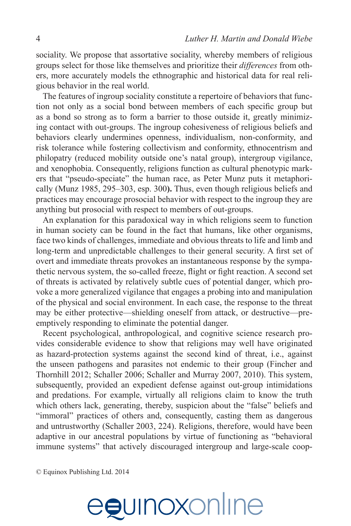sociality. We propose that assortative sociality, whereby members of religious groups select for those like themselves and prioritize their *differences* from others, more accurately models the ethnographic and historical data for real religious behavior in the real world.

The features of ingroup sociality constitute a repertoire of behaviors that function not only as a social bond between members of each specific group but as a bond so strong as to form a barrier to those outside it, greatly minimizing contact with out-groups. The ingroup cohesiveness of religious beliefs and behaviors clearly undermines openness, individualism, non-conformity, and risk tolerance while fostering collectivism and conformity, ethnocentrism and philopatry (reduced mobility outside one's natal group), intergroup vigilance, and xenophobia. Consequently, religions function as cultural phenotypic markers that "pseudo-speciate" the human race, as Peter Munz puts it metaphorically (Munz 1985, 295–303, esp. 300**).** Thus, even though religious beliefs and practices may encourage prosocial behavior with respect to the ingroup they are anything but prosocial with respect to members of out-groups.

An explanation for this paradoxical way in which religions seem to function in human society can be found in the fact that humans, like other organisms, face two kinds of challenges, immediate and obvious threats to life and limb and long-term and unpredictable challenges to their general security. A first set of overt and immediate threats provokes an instantaneous response by the sympathetic nervous system, the so-called freeze, flight or fight reaction. A second set of threats is activated by relatively subtle cues of potential danger, which provoke a more generalized vigilance that engages a probing into and manipulation of the physical and social environment. In each case, the response to the threat may be either protective—shielding oneself from attack, or destructive—preemptively responding to eliminate the potential danger.

Recent psychological, anthropological, and cognitive science research provides considerable evidence to show that religions may well have originated as hazard-protection systems against the second kind of threat, i.e., against the unseen pathogens and parasites not endemic to their group (Fincher and Thornhill 2012; Schaller 2006; Schaller and Murray 2007, 2010). This system, subsequently, provided an expedient defense against out-group intimidations and predations. For example, virtually all religions claim to know the truth which others lack, generating, thereby, suspicion about the "false" beliefs and "immoral" practices of others and, consequently, casting them as dangerous and untrustworthy (Schaller 2003, 224). Religions, therefore, would have been adaptive in our ancestral populations by virtue of functioning as "behavioral immune systems" that actively discouraged intergroup and large-scale coop-

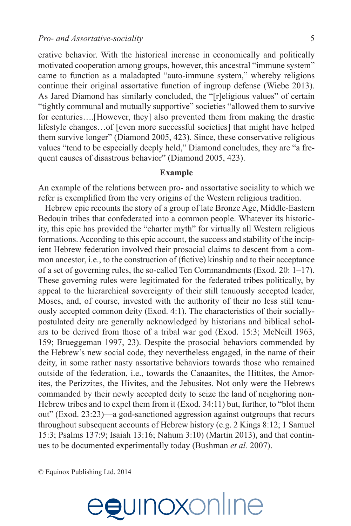erative behavior. With the historical increase in economically and politically motivated cooperation among groups, however, this ancestral "immune system" came to function as a maladapted "auto-immune system," whereby religions continue their original assortative function of ingroup defense (Wiebe 2013). As Jared Diamond has similarly concluded, the "[r]eligious values" of certain "tightly communal and mutually supportive" societies "allowed them to survive for centuries….[However, they] also prevented them from making the drastic lifestyle changes…of [even more successful societies] that might have helped them survive longer" (Diamond 2005, 423). Since, these conservative religious values "tend to be especially deeply held," Diamond concludes, they are "a frequent causes of disastrous behavior" (Diamond 2005, 423).

#### **Example**

An example of the relations between pro- and assortative sociality to which we refer is exemplified from the very origins of the Western religious tradition.

Hebrew epic recounts the story of a group of late Bronze Age, Middle-Eastern Bedouin tribes that confederated into a common people. Whatever its historicity, this epic has provided the "charter myth" for virtually all Western religious formations. According to this epic account, the success and stability of the incipient Hebrew federation involved their prosocial claims to descent from a common ancestor, i.e., to the construction of (fictive) kinship and to their acceptance of a set of governing rules, the so-called Ten Commandments (Exod. 20: 1–17). These governing rules were legitimated for the federated tribes politically, by appeal to the hierarchical sovereignty of their still tenuously accepted leader, Moses, and, of course, invested with the authority of their no less still tenuously accepted common deity (Exod. 4:1). The characteristics of their sociallypostulated deity are generally acknowledged by historians and biblical scholars to be derived from those of a tribal war god (Exod. 15:3; McNeill 1963, 159; Brueggeman 1997, 23). Despite the prosocial behaviors commended by the Hebrew's new social code, they nevertheless engaged, in the name of their deity, in some rather nasty assortative behaviors towards those who remained outside of the federation, i.e., towards the Canaanites, the Hittites, the Amorites, the Perizzites, the Hivites, and the Jebusites. Not only were the Hebrews commanded by their newly accepted deity to seize the land of neighoring non-Hebrew tribes and to expel them from it (Exod. 34:11) but, further, to "blot them out" (Exod. 23:23)—a god-sanctioned aggression against outgroups that recurs throughout subsequent accounts of Hebrew history (e.g. 2 Kings 8:12; 1 Samuel 15:3; Psalms 137:9; Isaiah 13:16; Nahum 3:10) (Martin 2013), and that continues to be documented experimentally today (Bushman *et al.* 2007).

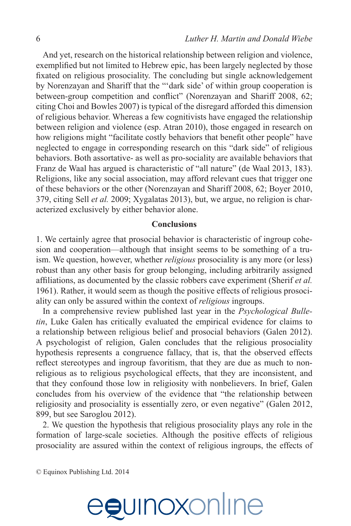And yet, research on the historical relationship between religion and violence, exemplified but not limited to Hebrew epic, has been largely neglected by those fixated on religious prosociality. The concluding but single acknowledgement by Norenzayan and Shariff that the "'dark side' of within group cooperation is between-group competition and conflict" (Norenzayan and Shariff 2008, 62; citing Choi and Bowles 2007) is typical of the disregard afforded this dimension of religious behavior. Whereas a few cognitivists have engaged the relationship between religion and violence (esp. Atran 2010), those engaged in research on how religions might "facilitate costly behaviors that benefit other people" have neglected to engage in corresponding research on this "dark side" of religious behaviors. Both assortative- as well as pro-sociality are available behaviors that Franz de Waal has argued is characteristic of "all nature" (de Waal 2013, 183). Religions, like any social association, may afford relevant cues that trigger one of these behaviors or the other (Norenzayan and Shariff 2008, 62; Boyer 2010, 379, citing Sell *et al.* 2009; Xygalatas 2013), but, we argue, no religion is characterized exclusively by either behavior alone.

#### **Conclusions**

1. We certainly agree that prosocial behavior is characteristic of ingroup cohesion and cooperation—although that insight seems to be something of a truism. We question, however, whether *religious* prosociality is any more (or less) robust than any other basis for group belonging, including arbitrarily assigned affiliations, as documented by the classic robbers cave experiment (Sherif *et al.* 1961). Rather, it would seem as though the positive effects of religious prosociality can only be assured within the context of *religious* ingroups.

In a comprehensive review published last year in the *Psychological Bulletin*, Luke Galen has critically evaluated the empirical evidence for claims to a relationship between religious belief and prosocial behaviors (Galen 2012). A psychologist of religion, Galen concludes that the religious prosociality hypothesis represents a congruence fallacy, that is, that the observed effects reflect stereotypes and ingroup favoritism, that they are due as much to nonreligious as to religious psychological effects, that they are inconsistent, and that they confound those low in religiosity with nonbelievers. In brief, Galen concludes from his overview of the evidence that "the relationship between religiosity and prosociality is essentially zero, or even negative" (Galen 2012, 899, but see Saroglou 2012).

2. We question the hypothesis that religious prosociality plays any role in the formation of large-scale societies. Although the positive effects of religious prosociality are assured within the context of religious ingroups, the effects of

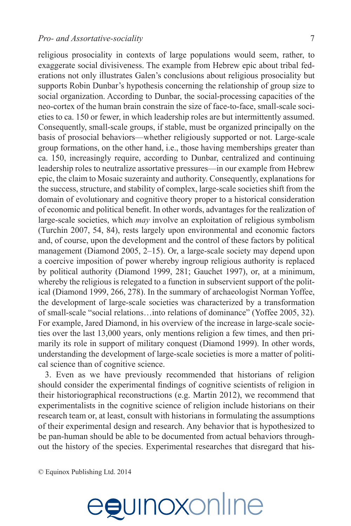religious prosociality in contexts of large populations would seem, rather, to exaggerate social divisiveness. The example from Hebrew epic about tribal federations not only illustrates Galen's conclusions about religious prosociality but supports Robin Dunbar's hypothesis concerning the relationship of group size to social organization. According to Dunbar, the social-processing capacities of the neo-cortex of the human brain constrain the size of face-to-face, small-scale societies to ca. 150 or fewer, in which leadership roles are but intermittently assumed. Consequently, small-scale groups, if stable, must be organized principally on the basis of prosocial behaviors—whether religiously supported or not. Large-scale group formations, on the other hand, i.e., those having memberships greater than ca. 150, increasingly require, according to Dunbar, centralized and continuing leadership roles to neutralize assortative pressures—in our example from Hebrew epic, the claim to Mosaic suzerainty and authority. Consequently, explanations for the success, structure, and stability of complex, large-scale societies shift from the domain of evolutionary and cognitive theory proper to a historical consideration of economic and political benefit. In other words, advantages for the realization of large-scale societies, which *may* involve an exploitation of religious symbolism (Turchin 2007, 54, 84), rests largely upon environmental and economic factors and, of course, upon the development and the control of these factors by political management (Diamond 2005, 2–15). Or, a large-scale society may depend upon a coercive imposition of power whereby ingroup religious authority is replaced by political authority (Diamond 1999, 281; Gauchet 1997), or, at a minimum, whereby the religious is relegated to a function in subservient support of the political (Diamond 1999, 266, 278). In the summary of archaeologist Norman Yoffee, the development of large-scale societies was characterized by a transformation of small-scale "social relations…into relations of dominance" (Yoffee 2005, 32). For example, Jared Diamond, in his overview of the increase in large-scale societies over the last 13,000 years, only mentions religion a few times, and then primarily its role in support of military conquest (Diamond 1999). In other words, understanding the development of large-scale societies is more a matter of political science than of cognitive science.

3. Even as we have previously recommended that historians of religion should consider the experimental findings of cognitive scientists of religion in their historiographical reconstructions (e.g. Martin 2012), we recommend that experimentalists in the cognitive science of religion include historians on their research team or, at least, consult with historians in formulating the assumptions of their experimental design and research. Any behavior that is hypothesized to be pan-human should be able to be documented from actual behaviors throughout the history of the species. Experimental researches that disregard that his-

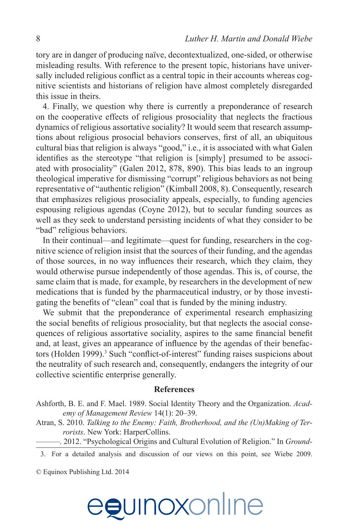tory are in danger of producing naïve, decontextualized, one-sided, or otherwise misleading results. With reference to the present topic, historians have universally included religious conflict as a central topic in their accounts whereas cognitive scientists and historians of religion have almost completely disregarded this issue in theirs.

4. Finally, we question why there is currently a preponderance of research on the cooperative effects of religious prosociality that neglects the fractious dynamics of religious assortative sociality? It would seem that research assumptions about religious prosocial behaviors conserves, first of all, an ubiquitous cultural bias that religion is always "good," i.e., it is associated with what Galen identifies as the stereotype "that religion is [simply] presumed to be associated with prosociality" (Galen 2012, 878, 890). This bias leads to an ingroup theological imperative for dismissing "corrupt" religious behaviors as not being representative of "authentic religion" (Kimball 2008, 8). Consequently, research that emphasizes religious prosociality appeals, especially, to funding agencies espousing religious agendas (Coyne 2012), but to secular funding sources as well as they seek to understand persisting incidents of what they consider to be "bad" religious behaviors.

In their continual—and legitimate—quest for funding, researchers in the cognitive science of religion insist that the sources of their funding, and the agendas of those sources, in no way influences their research, which they claim, they would otherwise pursue independently of those agendas. This is, of course, the same claim that is made, for example, by researchers in the development of new medications that is funded by the pharmaceutical industry, or by those investigating the benefits of "clean" coal that is funded by the mining industry.

We submit that the preponderance of experimental research emphasizing the social benefits of religious prosociality, but that neglects the asocial consequences of religious assortative sociality, aspires to the same financial benefit and, at least, gives an appearance of influence by the agendas of their benefactors (Holden 1999).<sup>3</sup> Such "conflict-of-interest" funding raises suspicions about the neutrality of such research and, consequently, endangers the integrity of our collective scientific enterprise generally.

#### **References**

- Ashforth, B. E. and F. Mael. 1989. Social Identity Theory and the Organization. *Academy of Management Review* 14(1): 20–39.
- Atran, S. 2010. *Talking to the Enemy: Faith, Brotherhood, and the (Un)Making of Terrorists*. New York: HarperCollins.

-. 2012. "Psychological Origins and Cultural Evolution of Religion." In *Ground-*

3. For a detailed analysis and discussion of our views on this point, see Wiebe 2009.

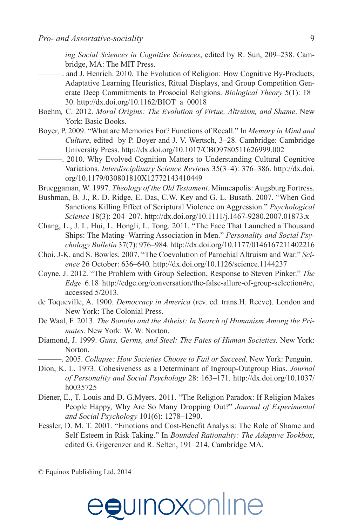*ing Social Sciences in Cognitive Sciences*, edited by R. Sun, 209–238. Cambridge, MA: The MIT Press.

- ———. and J. Henrich. 2010. The Evolution of Religion: How Cognitive By-Products, Adaptative Learning Heuristics, Ritual Displays, and Group Competition Generate Deep Commitments to Prosocial Religions. *Biological Theory* 5(1): 18– 30. [http://dx.doi.org/10.1162/BIOT\\_a\\_00018](http://dx.doi.org/10.1162/BIOT_a_00018)
- Boehm*,* C. 2012. *Moral Origins: The Evolution of Virtue, Altruism, and Shame*. New York: Basic Books.
- Boyer, P. 2009. "What are Memories For? Functions of Recall." In *Memory in Mind and Culture*, edited by P. Boyer and J. V. Wertsch, 3–28. Cambridge: Cambridge University Press. <http://dx.doi.org/10.1017/CBO9780511626999.002>
	- ———. 2010. Why Evolved Cognition Matters to Understanding Cultural Cognitive Variations. *Interdisciplinary Science Reviews* 35(3–4): 376–386. [http://dx.doi.](http://dx.doi.org/10.1179/030801810X12772143410449) [org/10.1179/030801810X12772143410449](http://dx.doi.org/10.1179/030801810X12772143410449)
- Brueggaman, W. 1997. *Theology of the Old Testament*. Minneapolis: Augsburg Fortress.
- Bushman, B. J., R. D. Ridge, E. Das, C.W. Key and G. L. Busath. 2007. "When God Sanctions Killing Effect of Scriptural Violence on Aggression." *Psychological Science* 18(3): 204–207.<http://dx.doi.org/10.1111/j.1467-9280.2007.01873.x>
- Chang, L., J. L. Hui, L. Hongli, L. Tong. 2011. "The Face That Launched a Thousand Ships: The Mating–Warring Association in Men." *Personality and Social Psychology Bulletin* 37(7): 976–984. [http://dx.doi.org/10.1177/0146167211402216](http://dx.doi.org/10.1177/0146167211402216 )
- Choi, J-K. and S. Bowles. 2007. "The Coevolution of Parochial Altruism and War." *Science* 26 October: 636–640*.* <http://dx.doi.org/10.1126/science.1144237>
- Coyne, J. 2012. "The Problem with Group Selection, Response to Steven Pinker." *The Edge* 6.18 http://edge.org/conversation/the-false-allure-of-group-selection#rc, accessed 5/2013.
- de Toqueville, A. 1900. *Democracy in America* (rev. ed. trans.H. Reeve). London and New York: The Colonial Press.
- De Waal, F. 2013. *The Bonobo and the Atheist: In Search of Humanism Among the Primates.* New York: W. W. Norton.
- Diamond, J. 1999. *Guns, Germs, and Steel: The Fates of Human Societies.* New York: Norton.
	- ———. 2005. *Collapse: How Societies Choose to Fail or Succeed*. New York: Penguin.
- Dion, K. L. 1973. Cohesiveness as a Determinant of Ingroup-Outgroup Bias. *Journal of Personality and Social Psychology* 28: 163–171. [http://dx.doi.org/10.1037/](http://dx.doi.org/10.1037/h0035725) [h0035725](http://dx.doi.org/10.1037/h0035725)
- Diener, E., T. Louis and D. G.Myers. 2011. "The Religion Paradox: If Religion Makes People Happy, Why Are So Many Dropping Out?" *Journal of Experimental and Social Psychology* 101(6): 1278–1290.
- Fessler, D. M. T. 2001. "Emotions and Cost-Benefit Analysis: The Role of Shame and Self Esteem in Risk Taking." In *Bounded Rationality: The Adaptive Tookbox*, edited G. Gigerenzer and R. Selten, 191–214. Cambridge MA.

© Equinox Publishing Ltd. 2014

## egunoxonline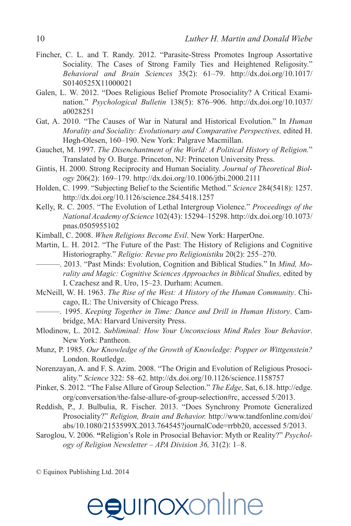- Fincher, C. L. and T. Randy. 2012. "Parasite-Stress Promotes Ingroup Assortative Sociality. The Cases of Strong Family Ties and Heightened Religosity." *Behavioral and Brain Sciences* 35(2): 61–79. [http://dx.doi.org/10.1017/](http://dx.doi.org/10.1017/S0140525X11000021) [S0140525X11000021](http://dx.doi.org/10.1017/S0140525X11000021)
- Galen, L. W. 2012. "Does Religious Belief Promote Prosociality? A Critical Examination." *Psychological Bulletin* 138(5): 876–906. [http://dx.doi.org/10.1037/](http://dx.doi.org/10.1037/a0028251) [a0028251](http://dx.doi.org/10.1037/a0028251)
- Gat, A. 2010. "The Causes of War in Natural and Historical Evolution." In *Human Morality and Sociality: Evolutionary and Comparative Perspectives,* edited H. Høgh-Olesen, 160–190. New York: Palgrave Macmillan.
- Gauchet, M. 1997. *The Disenchantment of the World: A Political History of Religion.*" Translated by O. Burge. Princeton, NJ: Princeton University Press.
- Gintis, H. 2000. Strong Reciprocity and Human Sociality. *Journal of Theoretical Biology* 206(2): 169–179. [http://dx.doi.org/10.1006/jtbi.2000.2111]( http://dx.doi.org/10.1006/jtbi.2000.2111)
- Holden, C. 1999. "Subjecting Belief to the Scientific Method." *Science* 284(5418): 1257. <http://dx.doi.org/10.1126/science.284.5418.1257>
- Kelly, R. C. 2005. "The Evolution of Lethal Intergroup Violence." *Proceedings of the National Academy of Science* 102(43): 15294–15298. [http://dx.doi.org/10.1073/](http://dx.doi.org/10.1073/pnas.0505955102) [pnas.0505955102](http://dx.doi.org/10.1073/pnas.0505955102)
- Kimball, C. 2008. *When Religions Become Evil*. New York: HarperOne.
- Martin, L. H. 2012. "The Future of the Past: The History of Religions and Cognitive Historiography." *Religio: Revue pro Religionistiku* 20(2): 255–270.
- ———. 2013. "Past Minds: Evolution, Cognition and Biblical Studies." In *Mind, Morality and Magic: Cognitive Sciences Approaches in Biblical Studies,* edited by I. Czachesz and R. Uro, 15–23. Durham: Acumen.
- McNeill, W. H. 1963. *The Rise of the West: A History of the Human Community*. Chicago, IL: The University of Chicago Press.
	- ———. 1995. *Keeping Together in Time: Dance and Drill in Human History*. Cambridge, MA: Harvard University Press.
- Mlodinow, L. 2012. *Subliminal: How Your Unconscious Mind Rules Your Behavior*. New York: Pantheon.
- Munz, P. 1985. *Our Knowledge of the Growth of Knowledge: Popper or Wittgenstein?* London. Routledge.
- Norenzayan, A. and F. S. Azim. 2008. "The Origin and Evolution of Religious Prosociality." *Science* 322: 58–62.<http://dx.doi.org/10.1126/science.1158757>
- Pinker, S. 2012. "The False Allure of Group Selection." *The Edge,* Sat, 6.18. http://edge. org/conversation/the-false-allure-of-group-selection#rc, accessed 5/2013.
- Reddish, P., J. Bulbulia, R. Fischer. 2013. "Does Synchrony Promote Generalized Prosociality?" *Religion, Brain and Behavior.* [http://www.tandfonline.com/doi/](http://www.tandfonline.com/doi/abs/10.1080/2153599X.2013.764545?journalCode=rrbb20) [abs/10.1080/2153599X.2013.764545?journalCode=rrbb20](http://www.tandfonline.com/doi/abs/10.1080/2153599X.2013.764545?journalCode=rrbb20), accessed 5/2013.
- Saroglou, V. 2006. **"**Religion's Role in Prosocial Behavior: Myth or Reality?" *Psychology of Religion Newsletter* – *APA Division 36,* 31(2): 1–8.

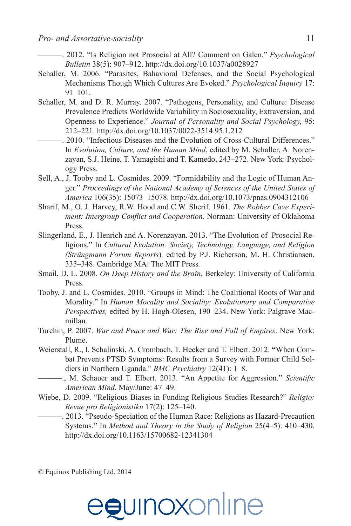- ———. 2012. "Is Religion not Prosocial at All? Comment on Galen." *Psychological Bulletin* 38(5): 907–912.<http://dx.doi.org/10.1037/a0028927>
- Schaller, M. 2006. "Parasites, Bahavioral Defenses, and the Social Psychological Mechanisms Though Which Cultures Are Evoked." *Psychological Inquiry* 17:  $91-101$ .
- Schaller, M. and D. R. Murray. 2007. "Pathogens, Personality, and Culture: Disease Prevalence Predicts Worldwide Variability in Sociosexuality, Extraversion, and Openness to Experience." *Journal of Personality and Social Psychology,* 95: 212–221. <http://dx.doi.org/10.1037/0022-3514.95.1.212>
	- ———. 2010. "Infectious Diseases and the Evolution of Cross-Cultural Differences." In *Evolution, Culture, and the Human Mind*, edited by M. Schaller, A. Norenzayan, S.J. Heine, T. Yamagishi and T. Kamedo, 243–272. New York: Psychology Press.
- Sell, A., J. Tooby and L. Cosmides. 2009. "Formidability and the Logic of Human Anger." *Proceedings of the National Academy of Sciences of the United States of America* 106(35): 15073–15078. <http://dx.doi.org/10.1073/pnas.0904312106>
- Sharif, M., O. J. Harvey, R.W. Hood and C.W. Sherif. 1961. *The Robber Cave Experiment: Intergroup Conflict and Cooperation.* Norman: University of Oklahoma Press.
- Slingerland, E., J. Henrich and A. Norenzayan. 2013. "The Evolution of Prosocial Religions." In *Cultural Evolution: Society, Technology, Language, and Religion (Strüngmann Forum Reports*)*,* edited by P.J. Richerson, M. H. Christiansen, 335–348. Cambridge MA: The MIT Press*.*
- Smail, D. L. 2008. *On Deep History and the Brain*. Berkeley: University of California Press.
- Tooby, J. and L. Cosmides. 2010. "Groups in Mind: The Coalitional Roots of War and Morality." In *Human Morality and Sociality: Evolutionary and Comparative Perspectives,* edited by H. Høgh-Olesen, 190–234. New York: Palgrave Macmillan.
- Turchin, P. 2007. *War and Peace and War: The Rise and Fall of Empires*. New York: Plume.
- Weierstall, R., I. Schalinski, A. Crombach, T. Hecker and T. Elbert. 2012. **"**When Combat Prevents PTSD Symptoms: Results from a Survey with Former Child Soldiers in Northern Uganda." *BMC Psychiatry* 12(41): 1–8.
	- ———., M. Schauer and T. Elbert. 2013. "An Appetite for Aggression." *Scientific American Mind*. May/June: 47–49.
- Wiebe, D. 2009. "Religious Biases in Funding Religious Studies Research?" *Religio: Revue pro Religionistiku* 17(2): 125–140.
	- ———. 2013. "Pseudo-Speciation of the Human Race: Religions as Hazard-Precaution Systems." In *Method and Theory in the Study of Religion* 25(4–5): 410–430. <http://dx.doi.org/10.1163/15700682-12341304>

© Equinox Publishing Ltd. 2014

## egunoxonline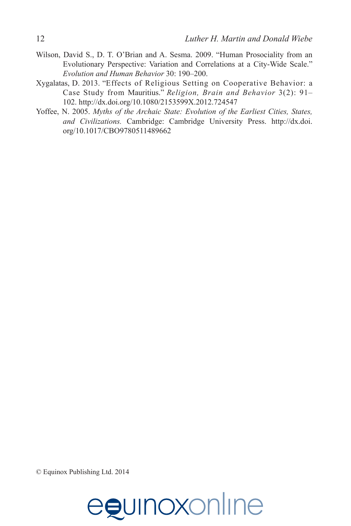- Wilson, David S., D. T. O'Brian and A. Sesma. 2009. "Human Prosociality from an Evolutionary Perspective: Variation and Correlations at a City-Wide Scale." *Evolution and Human Behavior* 30: 190–200.
- Xygalatas, D. 2013. "Effects of Religious Setting on Cooperative Behavior: a Case Study from Mauritius." *Religion, Brain and Behavior* 3(2): 91– 102. <http://dx.doi.org/10.1080/2153599X.2012.724547>
- Yoffee, N. 2005. *Myths of the Archaic State: Evolution of the Earliest Cities, States, and Civilizations.* Cambridge: Cambridge University Press. [http://dx.doi.](http://dx.doi.org/10.1017/CBO9780511489662) [org/10.1017/CBO9780511489662](http://dx.doi.org/10.1017/CBO9780511489662)

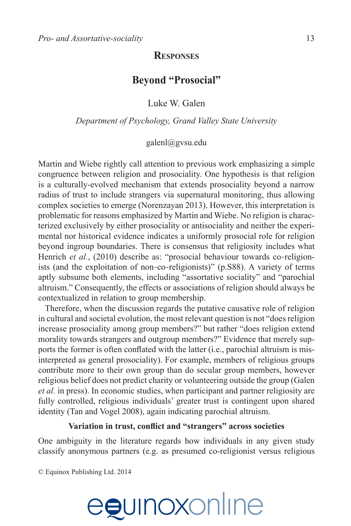#### **Responses**

### **Beyond "Prosocial"**

#### Luke W. Galen

#### *Department of Psychology, Grand Valley State University*

#### <galenl@gvsu.edu>

Martin and Wiebe rightly call attention to previous work emphasizing a simple congruence between religion and prosociality. One hypothesis is that religion is a culturally-evolved mechanism that extends prosociality beyond a narrow radius of trust to include strangers via supernatural monitoring, thus allowing complex societies to emerge (Norenzayan 2013). However, this interpretation is problematic for reasons emphasized by Martin and Wiebe. No religion is characterized exclusively by either prosociality or antisociality and neither the experimental nor historical evidence indicates a uniformly prosocial role for religion beyond ingroup boundaries. There is consensus that religiosity includes what Henrich *et al.*, (2010) describe as: "prosocial behaviour towards co-religionists (and the exploitation of non-co-religionists)" (p.S88). A variety of terms aptly subsume both elements, including "assortative sociality" and "parochial altruism." Consequently, the effects or associations of religion should always be contextualized in relation to group membership.

Therefore, when the discussion regards the putative causative role of religion in cultural and societal evolution, the most relevant question is not "does religion increase prosociality among group members?" but rather "does religion extend morality towards strangers and outgroup members?" Evidence that merely supports the former is often conflated with the latter (i.e., parochial altruism is misinterpreted as general prosociality). For example, members of religious groups contribute more to their own group than do secular group members, however religious belief does not predict charity or volunteering outside the group (Galen *et al.* in press). In economic studies, when participant and partner religiosity are fully controlled, religious individuals' greater trust is contingent upon shared identity (Tan and Vogel 2008), again indicating parochial altruism.

#### **Variation in trust, conflict and "strangers" across societies**

One ambiguity in the literature regards how individuals in any given study classify anonymous partners (e.g. as presumed co-religionist versus religious

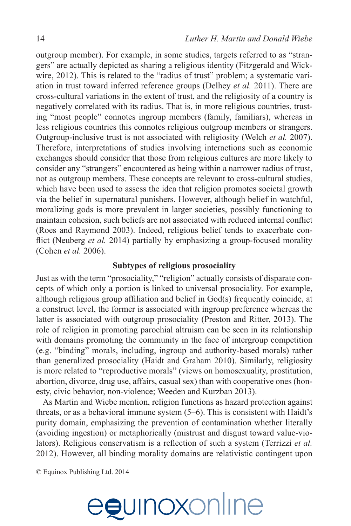outgroup member). For example, in some studies, targets referred to as "strangers" are actually depicted as sharing a religious identity (Fitzgerald and Wickwire, 2012). This is related to the "radius of trust" problem; a systematic variation in trust toward inferred reference groups (Delhey *et al.* 2011). There are cross-cultural variations in the extent of trust, and the religiosity of a country is negatively correlated with its radius. That is, in more religious countries, trusting "most people" connotes ingroup members (family, familiars), whereas in less religious countries this connotes religious outgroup members or strangers. Outgroup-inclusive trust is not associated with religiosity (Welch *et al.* 2007). Therefore, interpretations of studies involving interactions such as economic exchanges should consider that those from religious cultures are more likely to consider any "strangers" encountered as being within a narrower radius of trust, not as outgroup members. These concepts are relevant to cross-cultural studies, which have been used to assess the idea that religion promotes societal growth via the belief in supernatural punishers. However, although belief in watchful, moralizing gods is more prevalent in larger societies, possibly functioning to maintain cohesion, such beliefs are not associated with reduced internal conflict (Roes and Raymond 2003). Indeed, religious belief tends to exacerbate conflict (Neuberg *et al.* 2014) partially by emphasizing a group-focused morality (Cohen *et al.* 2006).

#### **Subtypes of religious prosociality**

Just as with the term "prosociality," "religion" actually consists of disparate concepts of which only a portion is linked to universal prosociality. For example, although religious group affiliation and belief in God(s) frequently coincide, at a construct level, the former is associated with ingroup preference whereas the latter is associated with outgroup prosociality (Preston and Ritter, 2013). The role of religion in promoting parochial altruism can be seen in its relationship with domains promoting the community in the face of intergroup competition (e.g. "binding" morals, including, ingroup and authority-based morals) rather than generalized prosociality (Haidt and Graham 2010). Similarly, religiosity is more related to "reproductive morals" (views on homosexuality, prostitution, abortion, divorce, drug use, affairs, casual sex) than with cooperative ones (honesty, civic behavior, non-violence; Weeden and Kurzban 2013).

As Martin and Wiebe mention, religion functions as hazard protection against threats, or as a behavioral immune system (5–6). This is consistent with Haidt's purity domain, emphasizing the prevention of contamination whether literally (avoiding ingestion) or metaphorically (mistrust and disgust toward value-violators). Religious conservatism is a reflection of such a system (Terrizzi *et al.*  2012). However, all binding morality domains are relativistic contingent upon

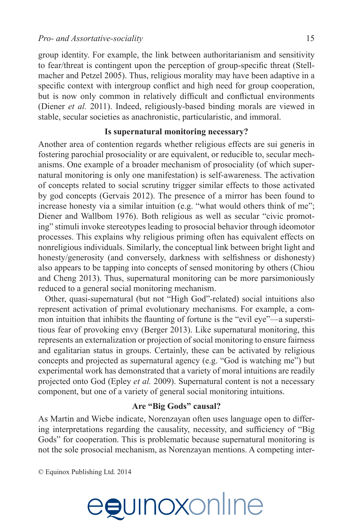group identity. For example, the link between authoritarianism and sensitivity to fear/threat is contingent upon the perception of group-specific threat (Stellmacher and Petzel 2005). Thus, religious morality may have been adaptive in a specific context with intergroup conflict and high need for group cooperation, but is now only common in relatively difficult and conflictual environments (Diener *et al.* 2011). Indeed, religiously-based binding morals are viewed in stable, secular societies as anachronistic, particularistic, and immoral.

#### **Is supernatural monitoring necessary?**

Another area of contention regards whether religious effects are sui generis in fostering parochial prosociality or are equivalent, or reducible to, secular mechanisms. One example of a broader mechanism of prosociality (of which supernatural monitoring is only one manifestation) is self-awareness. The activation of concepts related to social scrutiny trigger similar effects to those activated by god concepts (Gervais 2012). The presence of a mirror has been found to increase honesty via a similar intuition (e.g. "what would others think of me"; Diener and Wallbom 1976). Both religious as well as secular "civic promoting" stimuli invoke stereotypes leading to prosocial behavior through ideomotor processes. This explains why religious priming often has equivalent effects on nonreligious individuals. Similarly, the conceptual link between bright light and honesty/generosity (and conversely, darkness with selfishness or dishonesty) also appears to be tapping into concepts of sensed monitoring by others (Chiou and Cheng 2013). Thus, supernatural monitoring can be more parsimoniously reduced to a general social monitoring mechanism.

Other, quasi-supernatural (but not "High God"-related) social intuitions also represent activation of primal evolutionary mechanisms. For example, a common intuition that inhibits the flaunting of fortune is the "evil eye"—a superstitious fear of provoking envy (Berger 2013). Like supernatural monitoring, this represents an externalization or projection of social monitoring to ensure fairness and egalitarian status in groups. Certainly, these can be activated by religious concepts and projected as supernatural agency (e.g. "God is watching me") but experimental work has demonstrated that a variety of moral intuitions are readily projected onto God (Epley *et al.* 2009). Supernatural content is not a necessary component, but one of a variety of general social monitoring intuitions.

#### **Are "Big Gods" causal?**

As Martin and Wiebe indicate, Norenzayan often uses language open to differing interpretations regarding the causality, necessity, and sufficiency of "Big Gods" for cooperation. This is problematic because supernatural monitoring is not the sole prosocial mechanism, as Norenzayan mentions. A competing inter-

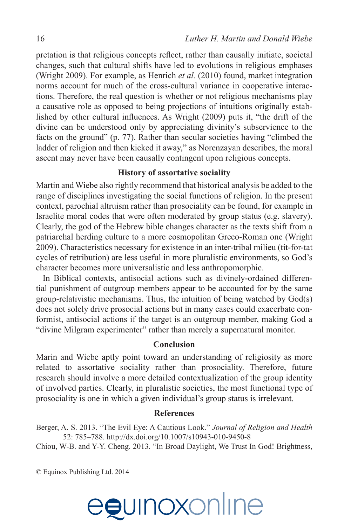pretation is that religious concepts reflect, rather than causally initiate, societal changes, such that cultural shifts have led to evolutions in religious emphases (Wright 2009). For example, as Henrich *et al.* (2010) found, market integration norms account for much of the cross-cultural variance in cooperative interactions. Therefore, the real question is whether or not religious mechanisms play a causative role as opposed to being projections of intuitions originally established by other cultural influences. As Wright (2009) puts it, "the drift of the divine can be understood only by appreciating divinity's subservience to the facts on the ground" (p. 77). Rather than secular societies having "climbed the ladder of religion and then kicked it away," as Norenzayan describes, the moral ascent may never have been causally contingent upon religious concepts.

#### **History of assortative sociality**

Martin and Wiebe also rightly recommend that historical analysis be added to the range of disciplines investigating the social functions of religion. In the present context, parochial altruism rather than prosociality can be found, for example in Israelite moral codes that were often moderated by group status (e.g. slavery). Clearly, the god of the Hebrew bible changes character as the texts shift from a patriarchal herding culture to a more cosmopolitan Greco-Roman one (Wright 2009). Characteristics necessary for existence in an inter-tribal milieu (tit-for-tat cycles of retribution) are less useful in more pluralistic environments, so God's character becomes more universalistic and less anthropomorphic.

In Biblical contexts, antisocial actions such as divinely-ordained differential punishment of outgroup members appear to be accounted for by the same group-relativistic mechanisms. Thus, the intuition of being watched by God(s) does not solely drive prosocial actions but in many cases could exacerbate conformist, antisocial actions if the target is an outgroup member, making God a "divine Milgram experimenter" rather than merely a supernatural monitor.

#### **Conclusion**

Marin and Wiebe aptly point toward an understanding of religiosity as more related to assortative sociality rather than prosociality. Therefore, future research should involve a more detailed contextualization of the group identity of involved parties. Clearly, in pluralistic societies, the most functional type of prosociality is one in which a given individual's group status is irrelevant.

#### **References**

Berger, A. S. 2013. "The Evil Eye: A Cautious Look." *Journal of Religion and Health*  52: 785–788. <http://dx.doi.org/10.1007/s10943-010-9450-8>

Chiou, W-B. and Y-Y. Cheng. 2013. "In Broad Daylight, We Trust In God! Brightness,

© Equinox Publishing Ltd. 2014

## egunoxonline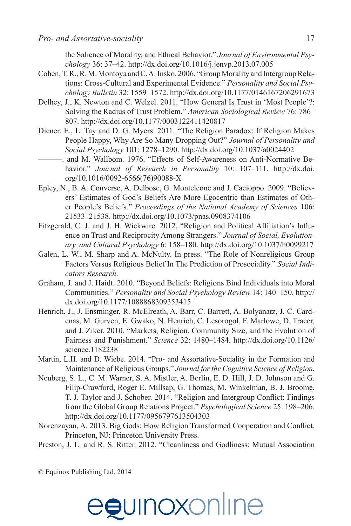the Salience of Morality, and Ethical Behavior." *Journal of Environmental Psychology* 36: 37–42. <http://dx.doi.org/10.1016/j.jenvp.2013.07.005>

- Cohen, T. R., R. M. Montoya and C. A. Insko. 2006. "Group Morality and Intergroup Relations: Cross-Cultural and Experimental Evidence." *Personality and Social Psychology Bulletin* 32: 1559–1572.<http://dx.doi.org/10.1177/0146167206291673>
- Delhey, J., K. Newton and C. Welzel. 2011. "How General Is Trust in 'Most People'?: Solving the Radius of Trust Problem." *American Sociological Review* 76: 786– 807. <http://dx.doi.org/10.1177/0003122411420817>
- Diener, E., L. Tay and D. G. Myers. 2011. "The Religion Paradox: If Religion Makes People Happy, Why Are So Many Dropping Out?" *Journal of Personality and Social Psychology* 101: 1278–1290. <http://dx.doi.org/10.1037/a0024402>
	- ———. and M. Wallbom. 1976. "Effects of Self-Awareness on Anti-Normative Behavior." *Journal of Research in Personality* 10: 107–111. [http://dx.doi.](http://dx.doi.org/10.1016/0092-6566(76)90088-X) [org/10.1016/0092-6566\(76\)90088-X](http://dx.doi.org/10.1016/0092-6566(76)90088-X)
- Epley, N., B. A. Converse, A. Delbosc, G. Monteleone and J. Cacioppo. 2009. "Believers' Estimates of God's Beliefs Are More Egocentric than Estimates of Other People's Beliefs." *Proceedings of the National Academy of Sciences* 106: 21533–21538. <http://dx.doi.org/10.1073/pnas.0908374106>
- Fitzgerald, C. J. and J. H. Wickwire. 2012. "Religion and Political Affiliation's Influence on Trust and Reciprocity Among Strangers." *Journal of Social, Evolutionary, and Cultural Psychology* 6: 158–180. <http://dx.doi.org/10.1037/h0099217>
- Galen, L. W., M. Sharp and A. McNulty. In press. "The Role of Nonreligious Group Factors Versus Religious Belief In The Prediction of Prosociality." *Social Indicators Research*.
- Graham, J. and J. Haidt. 2010. "Beyond Beliefs: Religions Bind Individuals into Moral Communities." *Personality and Social Psychology Review* 14: 140–150. [http://](http://dx.doi.org/10.1177/1088868309353415) [dx.doi.org/10.1177/1088868309353415](http://dx.doi.org/10.1177/1088868309353415)
- Henrich, J., J. Ensminger, R. McElreath, A. Barr, C. Barrett, A. Bolyanatz, J. C. Cardenas, M. Gurven, E. Gwako, N. Henrich, C. Lesorogol, F. Marlowe, D. Tracer, and J. Ziker. 2010. "Markets, Religion, Community Size, and the Evolution of Fairness and Punishment." *Science* 32: 1480–1484. [http://dx.doi.org/10.1126/](http://dx.doi.org/10.1126/science.1182238) [science.1182238](http://dx.doi.org/10.1126/science.1182238)
- Martin, L.H. and D. Wiebe. 2014. "Pro- and Assortative-Sociality in the Formation and Maintenance of Religious Groups." *Journal for the Cognitive Science of Religion*.
- Neuberg, S. L., C. M. Warner, S. A. Mistler, A. Berlin, E. D. Hill, J. D. Johnson and G. Filip-Crawford, Roger E. Millsap, G. Thomas, M. Winkelman, B. J. Broome, T. J. Taylor and J. Schober. 2014. "Religion and Intergroup Conflict: Findings from the Global Group Relations Project." *Psychological Science* 25: 198–206. <http://dx.doi.org/10.1177/0956797613504303>
- Norenzayan, A. 2013. Big Gods: How Religion Transformed Cooperation and Conflict. Princeton, NJ: Princeton University Press.
- Preston, J. L. and R. S. Ritter. 2012. "Cleanliness and Godliness: Mutual Association

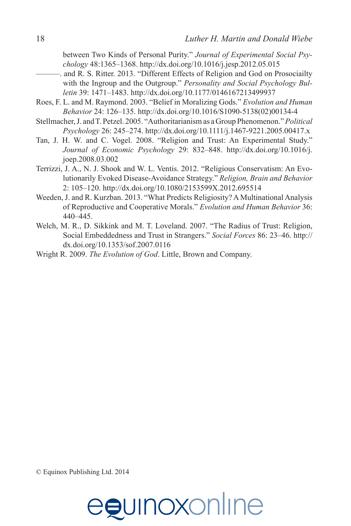between Two Kinds of Personal Purity." *Journal of Experimental Social Psychology* 48:1365–1368.<http://dx.doi.org/10.1016/j.jesp.2012.05.015>

- ———. and R. S. Ritter. 2013. "Different Effects of Religion and God on Prosociailty with the Ingroup and the Outgroup." *Personality and Social Psychology Bulletin* 39: 1471–1483. <http://dx.doi.org/10.1177/0146167213499937>
- Roes, F. L. and M. Raymond. 2003. "Belief in Moralizing Gods." *Evolution and Human Behavior* 24: 126–135. [http://dx.doi.org/10.1016/S1090-5138\(02\)00134-4](http://dx.doi.org/10.1016/S1090-5138(02)00134-4)
- Stellmacher, J. and T. Petzel. 2005. "Authoritarianism as a Group Phenomenon." *Political Psychology* 26: 245–274.<http://dx.doi.org/10.1111/j.1467-9221.2005.00417.x>
- Tan, J. H. W. and C. Vogel. 2008. "Religion and Trust: An Experimental Study." *Journal of Economic Psychology* 29: 832–848. [http://dx.doi.org/10.1016/j.](http://dx.doi.org/10.1016/j.joep.2008.03.002) [joep.2008.03.002](http://dx.doi.org/10.1016/j.joep.2008.03.002)
- Terrizzi, J. A., N. J. Shook and W. L. Ventis. 2012. "Religious Conservatism: An Evolutionarily Evoked Disease-Avoidance Strategy." *Religion, Brain and Behavior*  2: 105–120. <http://dx.doi.org/10.1080/2153599X.2012.695514>
- Weeden, J. and R. Kurzban. 2013. "What Predicts Religiosity? A Multinational Analysis of Reproductive and Cooperative Morals." *Evolution and Human Behavior* 36: 440–445.
- Welch, M. R., D. Sikkink and M. T. Loveland. 2007. "The Radius of Trust: Religion, Social Embeddedness and Trust in Strangers." *Social Forces* 86: 23–46. [http://](http://dx.doi.org/10.1353/sof.2007.0116) [dx.doi.org/10.1353/sof.2007.0116](http://dx.doi.org/10.1353/sof.2007.0116)
- Wright R. 2009. *The Evolution of God*. Little, Brown and Company.

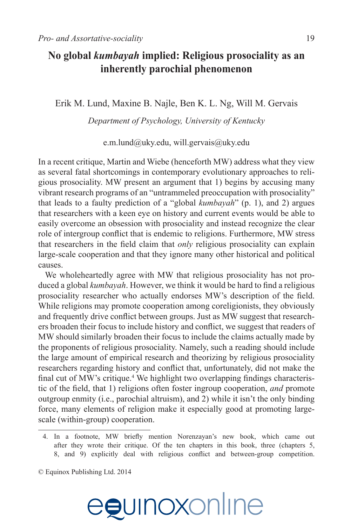### **No global** *kumbayah* **implied: Religious prosociality as an inherently parochial phenomenon**

Erik M. Lund, Maxine B. Najle, Ben K. L. Ng, Will M. Gervais

#### *Department of Psychology, University of Kentucky*

<e.m.lund@uky.edu>, <will.gervais@uky.edu>

In a recent critique, Martin and Wiebe (henceforth MW) address what they view as several fatal shortcomings in contemporary evolutionary approaches to religious prosociality. MW present an argument that 1) begins by accusing many vibrant research programs of an "untrammeled preoccupation with prosociality" that leads to a faulty prediction of a "global *kumbayah*" (p. 1), and 2) argues that researchers with a keen eye on history and current events would be able to easily overcome an obsession with prosociality and instead recognize the clear role of intergroup conflict that is endemic to religions. Furthermore, MW stress that researchers in the field claim that *only* religious prosociality can explain large-scale cooperation and that they ignore many other historical and political causes.

We wholeheartedly agree with MW that religious prosociality has not produced a global *kumbayah*. However, we think it would be hard to find a religious prosociality researcher who actually endorses MW's description of the field. While religions may promote cooperation among coreligionists, they obviously and frequently drive conflict between groups. Just as MW suggest that researchers broaden their focus to include history and conflict, we suggest that readers of MW should similarly broaden their focus to include the claims actually made by the proponents of religious prosociality. Namely, such a reading should include the large amount of empirical research and theorizing by religious prosociality researchers regarding history and conflict that, unfortunately, did not make the final cut of MW's critique.<sup>4</sup> We highlight two overlapping findings characteristic of the field, that 1) religions often foster ingroup cooperation, *and* promote outgroup enmity (i.e., parochial altruism), and 2) while it isn't the only binding force, many elements of religion make it especially good at promoting largescale (within-group) cooperation.



<sup>4.</sup> In a footnote, MW briefly mention Norenzayan's new book, which came out after they wrote their critique. Of the ten chapters in this book, three (chapters 5, 8, and 9) explicitly deal with religious conflict and between-group competition.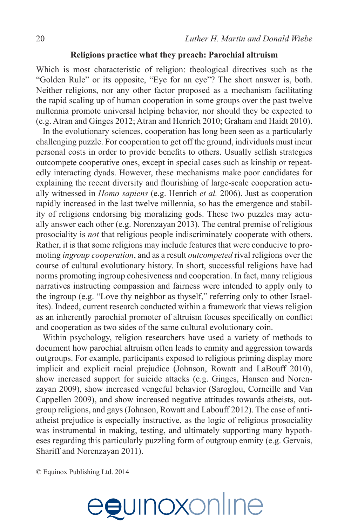#### **Religions practice what they preach: Parochial altruism**

Which is most characteristic of religion: theological directives such as the "Golden Rule" or its opposite, "Eye for an eye"? The short answer is, both. Neither religions, nor any other factor proposed as a mechanism facilitating the rapid scaling up of human cooperation in some groups over the past twelve millennia promote universal helping behavior, nor should they be expected to (e.g. Atran and Ginges 2012; Atran and Henrich 2010; Graham and Haidt 2010).

In the evolutionary sciences, cooperation has long been seen as a particularly challenging puzzle. For cooperation to get off the ground, individuals must incur personal costs in order to provide benefits to others. Usually selfish strategies outcompete cooperative ones, except in special cases such as kinship or repeatedly interacting dyads. However, these mechanisms make poor candidates for explaining the recent diversity and flourishing of large-scale cooperation actually witnessed in *Homo sapiens* (e.g. Henrich *et al.* 2006). Just as cooperation rapidly increased in the last twelve millennia, so has the emergence and stability of religions endorsing big moralizing gods. These two puzzles may actually answer each other (e.g. Norenzayan 2013). The central premise of religious prosociality is *not* that religious people indiscriminately cooperate with others. Rather, it is that some religions may include features that were conducive to promoting *ingroup cooperation*, and as a result *outcompeted* rival religions over the course of cultural evolutionary history. In short, successful religions have had norms promoting ingroup cohesiveness and cooperation. In fact, many religious narratives instructing compassion and fairness were intended to apply only to the ingroup (e.g. "Love thy neighbor as thyself," referring only to other Israelites). Indeed, current research conducted within a framework that views religion as an inherently parochial promoter of altruism focuses specifically on conflict and cooperation as two sides of the same cultural evolutionary coin.

Within psychology, religion researchers have used a variety of methods to document how parochial altruism often leads to enmity and aggression towards outgroups. For example, participants exposed to religious priming display more implicit and explicit racial prejudice (Johnson, Rowatt and LaBouff 2010), show increased support for suicide attacks (e.g. Ginges, Hansen and Norenzayan 2009), show increased vengeful behavior (Saroglou, Corneille and Van Cappellen 2009), and show increased negative attitudes towards atheists, outgroup religions, and gays (Johnson, Rowatt and Labouff 2012). The case of antiatheist prejudice is especially instructive, as the logic of religious prosociality was instrumental in making, testing, and ultimately supporting many hypotheses regarding this particularly puzzling form of outgroup enmity (e.g. Gervais, Shariff and Norenzayan 2011).

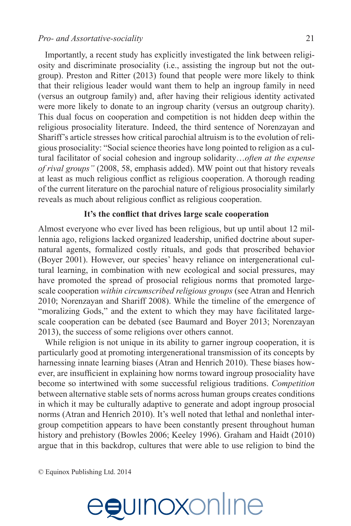Importantly, a recent study has explicitly investigated the link between religiosity and discriminate prosociality (i.e., assisting the ingroup but not the outgroup). Preston and Ritter (2013) found that people were more likely to think that their religious leader would want them to help an ingroup family in need (versus an outgroup family) and, after having their religious identity activated were more likely to donate to an ingroup charity (versus an outgroup charity). This dual focus on cooperation and competition is not hidden deep within the religious prosociality literature. Indeed, the third sentence of Norenzayan and Shariff's article stresses how critical parochial altruism is to the evolution of religious prosociality: "Social science theories have long pointed to religion as a cultural facilitator of social cohesion and ingroup solidarity…*often at the expense of rival groups"* (2008, 58, emphasis added). MW point out that history reveals at least as much religious conflict as religious cooperation. A thorough reading of the current literature on the parochial nature of religious prosociality similarly reveals as much about religious conflict as religious cooperation.

#### **It's the conflict that drives large scale cooperation**

Almost everyone who ever lived has been religious, but up until about 12 millennia ago, religions lacked organized leadership, unified doctrine about supernatural agents, formalized costly rituals, and gods that proscribed behavior (Boyer 2001). However, our species' heavy reliance on intergenerational cultural learning, in combination with new ecological and social pressures, may have promoted the spread of prosocial religious norms that promoted largescale cooperation *within circumscribed religious groups* (see Atran and Henrich 2010; Norenzayan and Shariff 2008). While the timeline of the emergence of "moralizing Gods," and the extent to which they may have facilitated largescale cooperation can be debated (see Baumard and Boyer 2013; Norenzayan 2013), the success of some religions over others cannot.

While religion is not unique in its ability to garner ingroup cooperation, it is particularly good at promoting intergenerational transmission of its concepts by harnessing innate learning biases (Atran and Henrich 2010). These biases however, are insufficient in explaining how norms toward ingroup prosociality have become so intertwined with some successful religious traditions. *Competition* between alternative stable sets of norms across human groups creates conditions in which it may be culturally adaptive to generate and adopt ingroup prosocial norms (Atran and Henrich 2010). It's well noted that lethal and nonlethal intergroup competition appears to have been constantly present throughout human history and prehistory (Bowles 2006; Keeley 1996). Graham and Haidt (2010) argue that in this backdrop, cultures that were able to use religion to bind the

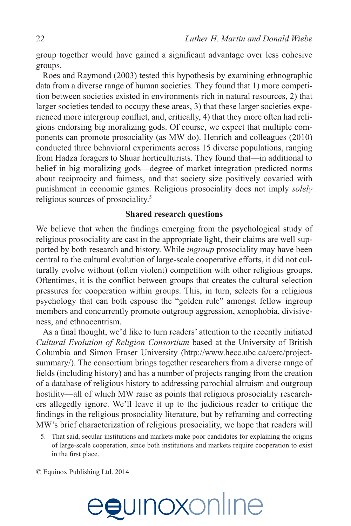group together would have gained a significant advantage over less cohesive groups.

Roes and Raymond (2003) tested this hypothesis by examining ethnographic data from a diverse range of human societies. They found that 1) more competition between societies existed in environments rich in natural resources, 2) that larger societies tended to occupy these areas, 3) that these larger societies experienced more intergroup conflict, and, critically, 4) that they more often had religions endorsing big moralizing gods. Of course, we expect that multiple components can promote prosociality (as MW do). Henrich and colleagues (2010) conducted three behavioral experiments across 15 diverse populations, ranging from Hadza foragers to Shuar horticulturists. They found that—in additional to belief in big moralizing gods—degree of market integration predicted norms about reciprocity and fairness, and that society size positively covaried with punishment in economic games. Religious prosociality does not imply *solely* religious sources of prosociality.5

#### **Shared research questions**

We believe that when the findings emerging from the psychological study of religious prosociality are cast in the appropriate light, their claims are well supported by both research and history. While *ingroup* prosociality may have been central to the cultural evolution of large-scale cooperative efforts, it did not culturally evolve without (often violent) competition with other religious groups. Oftentimes, it is the conflict between groups that creates the cultural selection pressures for cooperation within groups. This, in turn, selects for a religious psychology that can both espouse the "golden rule" amongst fellow ingroup members and concurrently promote outgroup aggression, xenophobia, divisiveness, and ethnocentrism.

As a final thought, we'd like to turn readers' attention to the recently initiated *Cultural Evolution of Religion Consortium* based at the University of British Columbia and Simon Fraser University (http://www.hecc.ubc.ca/cerc/projectsummary/). The consortium brings together researchers from a diverse range of fields (including history) and has a number of projects ranging from the creation of a database of religious history to addressing parochial altruism and outgroup hostility—all of which MW raise as points that religious prosociality researchers allegedly ignore. We'll leave it up to the judicious reader to critique the findings in the religious prosociality literature, but by reframing and correcting MW's brief characterization of religious prosociality, we hope that readers will



<sup>5.</sup> That said, secular institutions and markets make poor candidates for explaining the origins of large-scale cooperation, since both institutions and markets require cooperation to exist in the first place.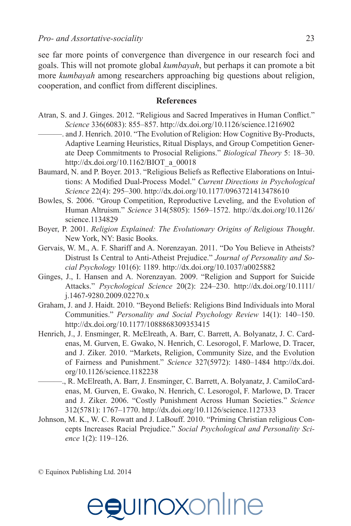see far more points of convergence than divergence in our research foci and goals. This will not promote global *kumbayah*, but perhaps it can promote a bit more *kumbayah* among researchers approaching big questions about religion, cooperation, and conflict from different disciplines.

#### **References**

- Atran, S. and J. Ginges. 2012. "Religious and Sacred Imperatives in Human Conflict." *Science* 336(6083): 855–857.<http://dx.doi.org/10.1126/science.1216902>
	- ———. and J. Henrich. 2010. "The Evolution of Religion: How Cognitive By-Products, Adaptive Learning Heuristics, Ritual Displays, and Group Competition Generate Deep Commitments to Prosocial Religions." *Biological Theory* 5: 18–30. [http://dx.doi.org/10.1162/BIOT\\_a\\_00018](http://dx.doi.org/10.1162/BIOT_a_00018)
- Baumard, N. and P. Boyer. 2013. "Religious Beliefs as Reflective Elaborations on Intuitions: A Modified Dual-Process Model." *Current Directions in Psychological Science* 22(4): 295–300.<http://dx.doi.org/10.1177/0963721413478610>
- Bowles, S. 2006. "Group Competition, Reproductive Leveling, and the Evolution of Human Altruism." *Science* 314(5805): 1569–1572. [http://dx.doi.org/10.1126/](http://dx.doi.org/10.1126/science.1134829) [science.1134829](http://dx.doi.org/10.1126/science.1134829)
- Boyer, P. 2001. *Religion Explained: The Evolutionary Origins of Religious Thought*. New York, NY: Basic Books.
- Gervais, W. M., A. F. Shariff and A. Norenzayan. 2011. "Do You Believe in Atheists? Distrust Is Central to Anti-Atheist Prejudice." *Journal of Personality and Social Psychology* 101(6): 1189. <http://dx.doi.org/10.1037/a0025882>
- Ginges, J., I. Hansen and A. Norenzayan. 2009. "Religion and Support for Suicide Attacks." *Psychological Science* 20(2): 224–230. [http://dx.doi.org/10.1111/](http://dx.doi.org/10.1111/j.1467-9280.2009.02270.x) [j.1467-9280.2009.02270.x](http://dx.doi.org/10.1111/j.1467-9280.2009.02270.x)
- Graham, J. and J. Haidt. 2010. "Beyond Beliefs: Religions Bind Individuals into Moral Communities." *Personality and Social Psychology Review* 14(1): 140–150. <http://dx.doi.org/10.1177/1088868309353415>
- Henrich, J., J. Ensminger, R. McElreath, A. Barr, C. Barrett, A. Bolyanatz, J. C. Cardenas, M. Gurven, E. Gwako, N. Henrich, C. Lesorogol, F. Marlowe, D. Tracer, and J. Ziker. 2010. "Markets, Religion, Community Size, and the Evolution of Fairness and Punishment." *Science* 327(5972): 1480–1484 [http://dx.doi.](http://dx.doi.org/10.1126/science.1182238) [org/10.1126/science.1182238](http://dx.doi.org/10.1126/science.1182238)
	- ———., R. McElreath, A. Barr, J. Ensminger, C. Barrett, A. Bolyanatz, J. CamiloCardenas, M. Gurven, E. Gwako, N. Henrich, C. Lesorogol, F. Marlowe, D. Tracer and J. Ziker. 2006. "Costly Punishment Across Human Societies." *Science* 312(5781): 1767–1770.<http://dx.doi.org/10.1126/science.1127333>
- Johnson, M. K., W. C. Rowatt and J. LaBouff. 2010. "Priming Christian religious Concepts Increases Racial Prejudice." *Social Psychological and Personality Science* 1(2): 119–126.

© Equinox Publishing Ltd. 2014

## egunoxonline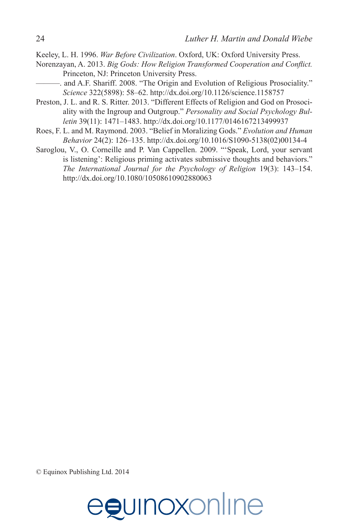Keeley, L. H. 1996. *War Before Civilization*. Oxford, UK: Oxford University Press.

- Norenzayan, A. 2013. *Big Gods: How Religion Transformed Cooperation and Conflict.* Princeton, NJ: Princeton University Press.
	- and A.F. Shariff. 2008. "The Origin and Evolution of Religious Prosociality." *Science* 322(5898): 58–62.<http://dx.doi.org/10.1126/science.1158757>
- Preston, J. L. and R. S. Ritter. 2013. "Different Effects of Religion and God on Prosociality with the Ingroup and Outgroup." *Personality and Social Psychology Bulletin* 39(11): 1471–1483.<http://dx.doi.org/10.1177/0146167213499937>
- Roes, F. L. and M. Raymond. 2003. "Belief in Moralizing Gods." *Evolution and Human Behavior* 24(2): 126–135. [http://dx.doi.org/10.1016/S1090-5138\(02\)00134-4](http://dx.doi.org/10.1016/S1090-5138(02)00134-4)
- Saroglou, V., O. Corneille and P. Van Cappellen. 2009. "'Speak, Lord, your servant is listening': Religious priming activates submissive thoughts and behaviors." *The International Journal for the Psychology of Religion* 19(3): 143–154. <http://dx.doi.org/10.1080/10508610902880063>

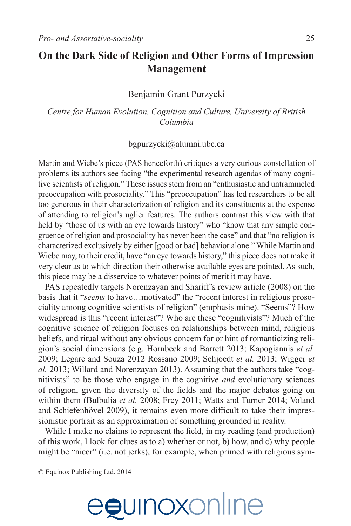### **On the Dark Side of Religion and Other Forms of Impression Management**

#### Benjamin Grant Purzycki

#### *Centre for Human Evolution, Cognition and Culture, University of British Columbia*

#### <bgpurzycki@alumni.ubc.ca>

Martin and Wiebe's piece (PAS henceforth) critiques a very curious constellation of problems its authors see facing "the experimental research agendas of many cognitive scientists of religion." These issues stem from an "enthusiastic and untrammeled preoccupation with prosociality." This "preoccupation" has led researchers to be all too generous in their characterization of religion and its constituents at the expense of attending to religion's uglier features. The authors contrast this view with that held by "those of us with an eye towards history" who "know that any simple congruence of religion and prosociality has never been the case" and that "no religion is characterized exclusively by either [good or bad] behavior alone." While Martin and Wiebe may, to their credit, have "an eye towards history," this piece does not make it very clear as to which direction their otherwise available eyes are pointed. As such, this piece may be a disservice to whatever points of merit it may have.

PAS repeatedly targets Norenzayan and Shariff's review article (2008) on the basis that it "*seems* to have…motivated" the "recent interest in religious prosociality among cognitive scientists of religion" (emphasis mine). "Seems"? How widespread is this "recent interest"? Who are these "cognitivists"? Much of the cognitive science of religion focuses on relationships between mind, religious beliefs, and ritual without any obvious concern for or hint of romanticizing religion's social dimensions (e.g. Hornbeck and Barrett 2013; Kapogiannis *et al.* 2009; Legare and Souza 2012 Rossano 2009; Schjoedt *et al.* 2013; Wigger *et al.* 2013; Willard and Norenzayan 2013). Assuming that the authors take "cognitivists" to be those who engage in the cognitive *and* evolutionary sciences of religion, given the diversity of the fields and the major debates going on within them (Bulbulia *et al.* 2008; Frey 2011; Watts and Turner 2014; Voland and Schiefenhövel 2009), it remains even more difficult to take their impressionistic portrait as an approximation of something grounded in reality.

While I make no claims to represent the field, in my reading (and production) of this work, I look for clues as to a) whether or not, b) how, and c) why people might be "nicer" (i.e. not jerks), for example, when primed with religious sym-

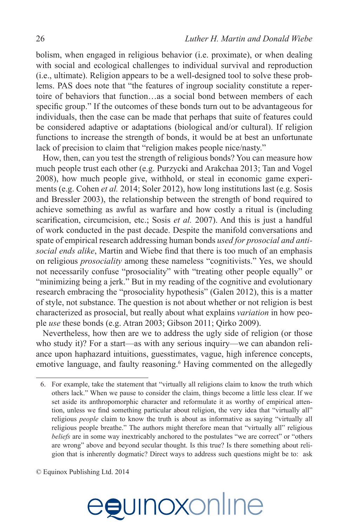bolism, when engaged in religious behavior (i.e. proximate), or when dealing with social and ecological challenges to individual survival and reproduction (i.e., ultimate). Religion appears to be a well-designed tool to solve these problems. PAS does note that "the features of ingroup sociality constitute a repertoire of behaviors that function…as a social bond between members of each specific group." If the outcomes of these bonds turn out to be advantageous for individuals, then the case can be made that perhaps that suite of features could be considered adaptive or adaptations (biological and/or cultural). If religion functions to increase the strength of bonds, it would be at best an unfortunate lack of precision to claim that "religion makes people nice/nasty."

How, then, can you test the strength of religious bonds? You can measure how much people trust each other (e.g. Purzycki and Arakchaa 2013; Tan and Vogel 2008), how much people give, withhold, or steal in economic game experiments (e.g. Cohen *et al.* 2014; Soler 2012), how long institutions last (e.g. Sosis and Bressler 2003), the relationship between the strength of bond required to achieve something as awful as warfare and how costly a ritual is (including scarification, circumcision, etc.; Sosis *et al.* 2007). And this is just a handful of work conducted in the past decade. Despite the manifold conversations and spate of empirical research addressing human bonds *used for prosocial and antisocial ends alike*, Martin and Wiebe find that there is too much of an emphasis on religious *prosociality* among these nameless "cognitivists." Yes, we should not necessarily confuse "prosociality" with "treating other people equally" or "minimizing being a jerk." But in my reading of the cognitive and evolutionary research embracing the "prosociality hypothesis" (Galen 2012), this is a matter of style, not substance. The question is not about whether or not religion is best characterized as prosocial, but really about what explains *variation* in how people *use* these bonds (e.g. Atran 2003; Gibson 2011; Qirko 2009).

Nevertheless, how then are we to address the ugly side of religion (or those who study it)? For a start—as with any serious inquiry—we can abandon reliance upon haphazard intuitions, guesstimates, vague, high inference concepts, emotive language, and faulty reasoning.<sup>6</sup> Having commented on the allegedly



<sup>6.</sup> For example, take the statement that "virtually all religions claim to know the truth which others lack." When we pause to consider the claim, things become a little less clear. If we set aside its anthropomorphic character and reformulate it as worthy of empirical attention, unless we find something particular about religion, the very idea that "virtually all" religious *people* claim to know the truth is about as informative as saying "virtually all religious people breathe." The authors might therefore mean that "virtually all" religious *beliefs* are in some way inextricably anchored to the postulates "we are correct" or "others are wrong" above and beyond secular thought. Is this true? Is there something about religion that is inherently dogmatic? Direct ways to address such questions might be to: ask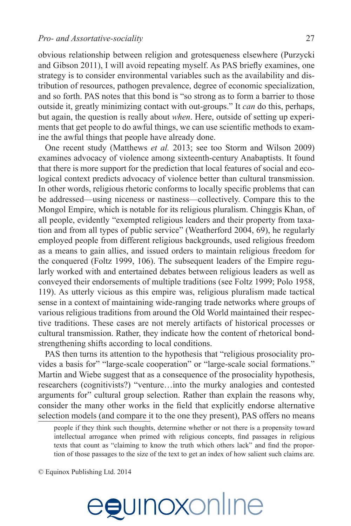obvious relationship between religion and grotesqueness elsewhere (Purzycki and Gibson 2011), I will avoid repeating myself. As PAS briefly examines, one strategy is to consider environmental variables such as the availability and distribution of resources, pathogen prevalence, degree of economic specialization, and so forth. PAS notes that this bond is "so strong as to form a barrier to those outside it, greatly minimizing contact with out-groups." It *can* do this, perhaps, but again, the question is really about *when*. Here, outside of setting up experiments that get people to do awful things, we can use scientific methods to examine the awful things that people have already done.

One recent study (Matthews *et al.* 2013; see too Storm and Wilson 2009) examines advocacy of violence among sixteenth-century Anabaptists. It found that there is more support for the prediction that local features of social and ecological context predicts advocacy of violence better than cultural transmission. In other words, religious rhetoric conforms to locally specific problems that can be addressed—using niceness or nastiness—collectively. Compare this to the Mongol Empire, which is notable for its religious pluralism. Chinggis Khan, of all people, evidently "exempted religious leaders and their property from taxation and from all types of public service" (Weatherford 2004, 69), he regularly employed people from different religious backgrounds, used religious freedom as a means to gain allies, and issued orders to maintain religious freedom for the conquered (Foltz 1999, 106). The subsequent leaders of the Empire regularly worked with and entertained debates between religious leaders as well as conveyed their endorsements of multiple traditions (see Foltz 1999; Polo 1958, 119). As utterly vicious as this empire was, religious pluralism made tactical sense in a context of maintaining wide-ranging trade networks where groups of various religious traditions from around the Old World maintained their respective traditions. These cases are not merely artifacts of historical processes or cultural transmission. Rather, they indicate how the content of rhetorical bondstrengthening shifts according to local conditions.

PAS then turns its attention to the hypothesis that "religious prosociality provides a basis for" "large-scale cooperation" or "large-scale social formations." Martin and Wiebe suggest that as a consequence of the prosociality hypothesis, researchers (cognitivists?) "venture…into the murky analogies and contested arguments for" cultural group selection. Rather than explain the reasons why, consider the many other works in the field that explicitly endorse alternative selection models (and compare it to the one they present), PAS offers no means

people if they think such thoughts, determine whether or not there is a propensity toward intellectual arrogance when primed with religious concepts, find passages in religious texts that count as "claiming to know the truth which others lack" and find the proportion of those passages to the size of the text to get an index of how salient such claims are.

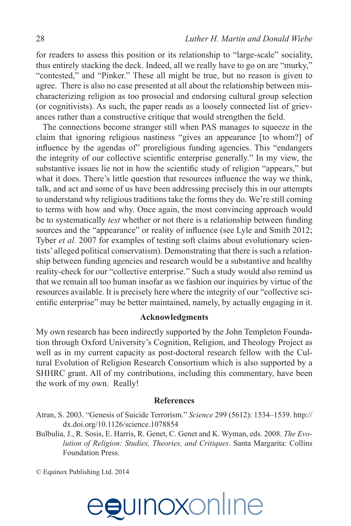for readers to assess this position or its relationship to "large-scale" sociality, thus entirely stacking the deck. Indeed, all we really have to go on are "murky," "contested," and "Pinker." These all might be true, but no reason is given to agree. There is also no case presented at all about the relationship between mischaracterizing religion as too prosocial and endorsing cultural group selection (or cognitivists). As such, the paper reads as a loosely connected list of grievances rather than a constructive critique that would strengthen the field.

The connections become stranger still when PAS manages to squeeze in the claim that ignoring religious nastiness "gives an appearance [to whom?] of influence by the agendas of" proreligious funding agencies. This "endangers the integrity of our collective scientific enterprise generally." In my view, the substantive issues lie not in how the scientific study of religion "appears," but what it does. There's little question that resources influence the way we think, talk, and act and some of us have been addressing precisely this in our attempts to understand why religious traditions take the forms they do. We're still coming to terms with how and why. Once again, the most convincing approach would be to systematically *test* whether or not there is a relationship between funding sources and the "appearance" or reality of influence (see Lyle and Smith 2012; Tyber *et al.* 2007 for examples of testing soft claims about evolutionary scientists' alleged political conservatism). Demonstrating that there is such a relationship between funding agencies and research would be a substantive and healthy reality-check for our "collective enterprise." Such a study would also remind us that we remain all too human insofar as we fashion our inquiries by virtue of the resources available. It is precisely here where the integrity of our "collective scientific enterprise" may be better maintained, namely, by actually engaging in it.

#### **Acknowledgments**

My own research has been indirectly supported by the John Templeton Foundation through Oxford University's Cognition, Religion, and Theology Project as well as in my current capacity as post-doctoral research fellow with the Cultural Evolution of Religion Research Consortium which is also supported by a SHHRC grant. All of my contributions, including this commentary, have been the work of my own. Really!

#### **References**

- Atran, S. 2003. "Genesis of Suicide Terrorism." *Science* 299 (5612): 1534–1539. [http://](http://dx.doi.org/10.1126/science.1078854) [dx.doi.org/10.1126/science.1078854](http://dx.doi.org/10.1126/science.1078854)
- Bulbulia, J., R. Sosis, E. Harris, R. Genet, C. Genet and K. Wyman, eds. 2008. *The Evolution of Religion: Studies, Theories, and Critiques*. Santa Margarita: Collins Foundation Press.

© Equinox Publishing Ltd. 2014

## egunoxonline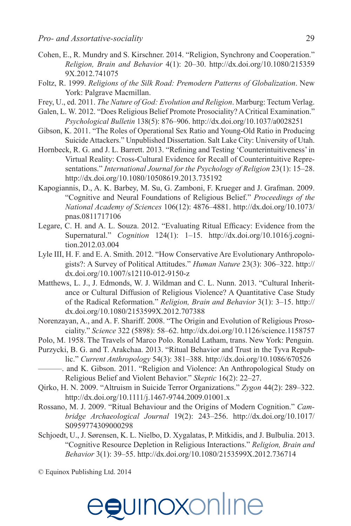- Cohen, E., R. Mundry and S. Kirschner. 2014. "Religion, Synchrony and Cooperation." *Religion, Brain and Behavior* 4(1): 20–30. [http://dx.doi.org/10.1080/215359](http://dx.doi.org/10.1080/2153599X.2012.741075) [9X.2012.741075](http://dx.doi.org/10.1080/2153599X.2012.741075)
- Foltz, R. 1999. *Religions of the Silk Road: Premodern Patterns of Globalization*. New York: Palgrave Macmillan.
- Frey, U., ed. 2011. *The Nature of God: Evolution and Religion*. Marburg: Tectum Verlag.
- Galen, L. W. 2012. "Does Religious Belief Promote Prosociality? A Critical Examination." *Psychological Bulletin* 138(5): 876–906.<http://dx.doi.org/10.1037/a0028251>
- Gibson, K. 2011. "The Roles of Operational Sex Ratio and Young-Old Ratio in Producing Suicide Attackers." Unpublished Dissertation. Salt Lake City: University of Utah.
- Hornbeck, R. G. and J. L. Barrett. 2013. "Refining and Testing 'Counterintuitiveness' in Virtual Reality: Cross-Cultural Evidence for Recall of Counterintuitive Representations." *International Journal for the Psychology of Religion* 23(1): 15–28. <http://dx.doi.org/10.1080/10508619.2013.735192>
- Kapogiannis, D., A. K. Barbey, M. Su, G. Zamboni, F. Krueger and J. Grafman. 2009. "Cognitive and Neural Foundations of Religious Belief." *Proceedings of the National Academy of Sciences* 106(12): 4876–4881. [http://dx.doi.org/10.1073/](http://dx.doi.org/10.1073/pnas.0811717106) [pnas.0811717106](http://dx.doi.org/10.1073/pnas.0811717106)
- Legare, C. H. and A. L. Souza. 2012. "Evaluating Ritual Efficacy: Evidence from the Supernatural." *Cognition* 124(1): 1–15. [http://dx.doi.org/10.1016/j.cogni](http://dx.doi.org/10.1016/j.cognition.2012.03.004)[tion.2012.03.004](http://dx.doi.org/10.1016/j.cognition.2012.03.004)
- Lyle III, H. F. and E. A. Smith. 2012. "How Conservative Are Evolutionary Anthropologists?: A Survey of Political Attitudes." *Human Nature* 23(3): 306–322. [http://](http://dx.doi.org/10.1007/s12110-012-9150-z) [dx.doi.org/10.1007/s12110-012-9150-z](http://dx.doi.org/10.1007/s12110-012-9150-z)
- Matthews, L. J., J. Edmonds, W. J. Wildman and C. L. Nunn. 2013. "Cultural Inheritance or Cultural Diffusion of Religious Violence? A Quantitative Case Study of the Radical Reformation." *Religion, Brain and Behavior* 3(1): 3–15. [http://](http://dx.doi.org/10.1080/2153599X.2012.707388) [dx.doi.org/10.1080/2153599X.2012.707388](http://dx.doi.org/10.1080/2153599X.2012.707388)
- Norenzayan, A., and A. F. Shariff. 2008. "The Origin and Evolution of Religious Prosociality." *Science* 322 (5898): 58–62. <http://dx.doi.org/10.1126/science.1158757>
- Polo, M. 1958. The Travels of Marco Polo. Ronald Latham, trans. New York: Penguin.
- Purzycki, B. G. and T. Arakchaa. 2013. "Ritual Behavior and Trust in the Tyva Republic." *Current Anthropology* 54(3): 381–388.<http://dx.doi.org/10.1086/670526> ———. and K. Gibson. 2011. "Religion and Violence: An Anthropological Study on
	- Religious Belief and Violent Behavior." *Skeptic* 16(2): 22–27.
- Qirko, H. N. 2009. "Altruism in Suicide Terror Organizations." *Zygon* 44(2): 289–322. <http://dx.doi.org/10.1111/j.1467-9744.2009.01001.x>
- Rossano, M. J. 2009. "Ritual Behaviour and the Origins of Modern Cognition." *Cambridge Archaeological Journal* 19(2): 243–256. [http://dx.doi.org/10.1017/](http://dx.doi.org/10.1017/S0959774309000298) [S0959774309000298](http://dx.doi.org/10.1017/S0959774309000298)
- Schjoedt, U., J. Sørensen, K. L. Nielbo, D. Xygalatas, P. Mitkidis, and J. Bulbulia. 2013. "Cognitive Resource Depletion in Religious Interactions." *Religion, Brain and Behavior* 3(1): 39–55.<http://dx.doi.org/10.1080/2153599X.2012.736714>

© Equinox Publishing Ltd. 2014

## egunoxonline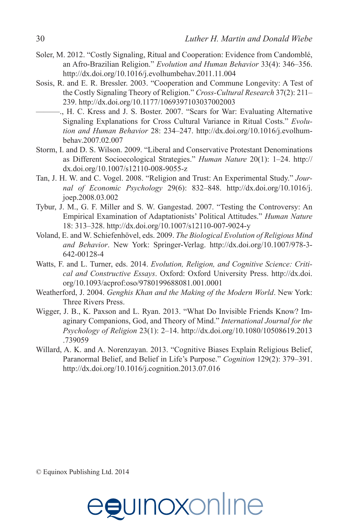- Soler, M. 2012. "Costly Signaling, Ritual and Cooperation: Evidence from Candomblé, an Afro-Brazilian Religion." *Evolution and Human Behavior* 33(4): 346–356. <http://dx.doi.org/10.1016/j.evolhumbehav.2011.11.004>
- Sosis, R. and E. R. Bressler. 2003. "Cooperation and Commune Longevity: A Test of the Costly Signaling Theory of Religion." *Cross-Cultural Research* 37(2): 211– 239. <http://dx.doi.org/10.1177/1069397103037002003>
	- ———., H. C. Kress and J. S. Boster. 2007. "Scars for War: Evaluating Alternative Signaling Explanations for Cross Cultural Variance in Ritual Costs." *Evolution and Human Behavior* 28: 234–247. [http://dx.doi.org/10.1016/j.evolhum](http://dx.doi.org/10.1016/j.evolhumbehav.2007.02.007)[behav.2007.02.007](http://dx.doi.org/10.1016/j.evolhumbehav.2007.02.007)
- Storm, I. and D. S. Wilson. 2009. "Liberal and Conservative Protestant Denominations as Different Socioecological Strategies." *Human Nature* 20(1): 1–24. [http://](http://dx.doi.org/10.1007/s12110-008-9055-z) [dx.doi.org/10.1007/s12110-008-9055-z](http://dx.doi.org/10.1007/s12110-008-9055-z)
- Tan, J. H. W. and C. Vogel. 2008. "Religion and Trust: An Experimental Study." *Journal of Economic Psychology* 29(6): 832–848. [http://dx.doi.org/10.1016/j.](http://dx.doi.org/10.1016/j.joep.2008.03.002) [joep.2008.03.002](http://dx.doi.org/10.1016/j.joep.2008.03.002)
- Tybur, J. M., G. F. Miller and S. W. Gangestad. 2007. "Testing the Controversy: An Empirical Examination of Adaptationists' Political Attitudes." *Human Nature*  18: 313–328. <http://dx.doi.org/10.1007/s12110-007-9024-y>
- Voland, E. and W. Schiefenhövel, eds. 2009. *The Biological Evolution of Religious Mind and Behavior*. New York: Springer-Verlag. [http://dx.doi.org/10.1007/978-3-](http://dx.doi.org/10.1007/978-3-642-00128-4) [642-00128-4](http://dx.doi.org/10.1007/978-3-642-00128-4)
- Watts, F. and L. Turner, eds. 2014. *Evolution, Religion, and Cognitive Science: Critical and Constructive Essays*. Oxford: Oxford University Press. [http://dx.doi.](http://dx.doi.org/10.1093/acprof:oso/9780199688081.001.0001) [org/10.1093/acprof:oso/9780199688081.001.0001](http://dx.doi.org/10.1093/acprof:oso/9780199688081.001.0001)
- Weatherford, J. 2004. *Genghis Khan and the Making of the Modern World*. New York: Three Rivers Press.
- Wigger, J. B., K. Paxson and L. Ryan. 2013. "What Do Invisible Friends Know? Imaginary Companions, God, and Theory of Mind." *International Journal for the Psychology of Religion* 23(1): 2–14. [http://dx.doi.org/10.1080/10508619.2013](http://dx.doi.org/10.1080/10508619.2013.739059) [.739059](http://dx.doi.org/10.1080/10508619.2013.739059)
- Willard, A. K. and A. Norenzayan. 2013. "Cognitive Biases Explain Religious Belief, Paranormal Belief, and Belief in Life's Purpose." *Cognition* 129(2): 379–391. <http://dx.doi.org/10.1016/j.cognition.2013.07.016>

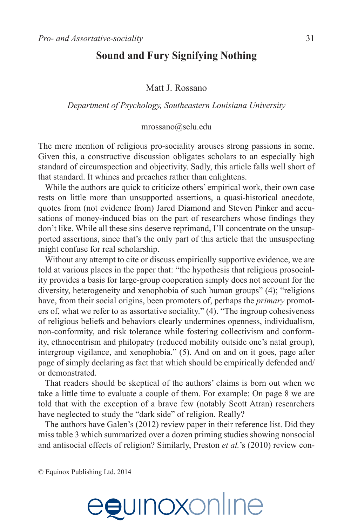### **Sound and Fury Signifying Nothing**

Matt J. Rossano

*Department of Psychology, Southeastern Louisiana University*

#### <mrossano@selu.edu>

The mere mention of religious pro-sociality arouses strong passions in some. Given this, a constructive discussion obligates scholars to an especially high standard of circumspection and objectivity. Sadly, this article falls well short of that standard. It whines and preaches rather than enlightens.

While the authors are quick to criticize others' empirical work, their own case rests on little more than unsupported assertions, a quasi-historical anecdote, quotes from (not evidence from) Jared Diamond and Steven Pinker and accusations of money-induced bias on the part of researchers whose findings they don't like. While all these sins deserve reprimand, I'll concentrate on the unsupported assertions, since that's the only part of this article that the unsuspecting might confuse for real scholarship.

Without any attempt to cite or discuss empirically supportive evidence, we are told at various places in the paper that: "the hypothesis that religious prosociality provides a basis for large-group cooperation simply does not account for the diversity, heterogeneity and xenophobia of such human groups" (4); "religions have, from their social origins, been promoters of, perhaps the *primary* promoters of, what we refer to as assortative sociality." (4). "The ingroup cohesiveness of religious beliefs and behaviors clearly undermines openness, individualism, non-conformity, and risk tolerance while fostering collectivism and conformity, ethnocentrism and philopatry (reduced mobility outside one's natal group), intergroup vigilance, and xenophobia." (5). And on and on it goes, page after page of simply declaring as fact that which should be empirically defended and/ or demonstrated.

That readers should be skeptical of the authors' claims is born out when we take a little time to evaluate a couple of them. For example: On page 8 we are told that with the exception of a brave few (notably Scott Atran) researchers have neglected to study the "dark side" of religion. Really?

The authors have Galen's (2012) review paper in their reference list. Did they miss table 3 which summarized over a dozen priming studies showing nonsocial and antisocial effects of religion? Similarly, Preston *et al.*'s (2010) review con-

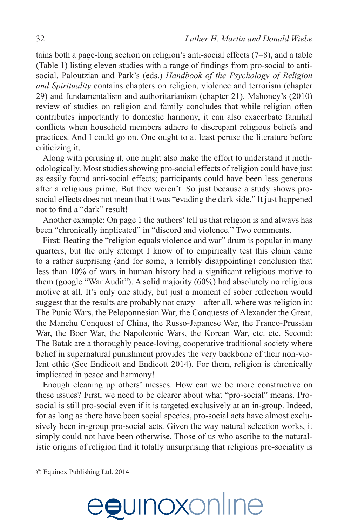tains both a page-long section on religion's anti-social effects (7–8), and a table (Table 1) listing eleven studies with a range of findings from pro-social to antisocial. Paloutzian and Park's (eds.) *Handbook of the Psychology of Religion and Spirituality* contains chapters on religion, violence and terrorism (chapter 29) and fundamentalism and authoritarianism (chapter 21). Mahoney's (2010) review of studies on religion and family concludes that while religion often contributes importantly to domestic harmony, it can also exacerbate familial conflicts when household members adhere to discrepant religious beliefs and practices. And I could go on. One ought to at least peruse the literature before criticizing it.

Along with perusing it, one might also make the effort to understand it methodologically. Most studies showing pro-social effects of religion could have just as easily found anti-social effects; participants could have been less generous after a religious prime. But they weren't. So just because a study shows prosocial effects does not mean that it was "evading the dark side." It just happened not to find a "dark" result!

Another example: On page 1 the authors' tell us that religion is and always has been "chronically implicated" in "discord and violence." Two comments.

First: Beating the "religion equals violence and war" drum is popular in many quarters, but the only attempt I know of to empirically test this claim came to a rather surprising (and for some, a terribly disappointing) conclusion that less than 10% of wars in human history had a significant religious motive to them (google "War Audit"). A solid majority (60%) had absolutely no religious motive at all. It's only one study, but just a moment of sober reflection would suggest that the results are probably not crazy—after all, where was religion in: The Punic Wars, the Peloponnesian War, the Conquests of Alexander the Great, the Manchu Conquest of China, the Russo-Japanese War, the Franco-Prussian War, the Boer War, the Napoleonic Wars, the Korean War, etc. etc. Second: The Batak are a thoroughly peace-loving, cooperative traditional society where belief in supernatural punishment provides the very backbone of their non-violent ethic (See Endicott and Endicott 2014). For them, religion is chronically implicated in peace and harmony!

Enough cleaning up others' messes. How can we be more constructive on these issues? First, we need to be clearer about what "pro-social" means. Prosocial is still pro-social even if it is targeted exclusively at an in-group. Indeed, for as long as there have been social species, pro-social acts have almost exclusively been in-group pro-social acts. Given the way natural selection works, it simply could not have been otherwise. Those of us who ascribe to the naturalistic origins of religion find it totally unsurprising that religious pro-sociality is

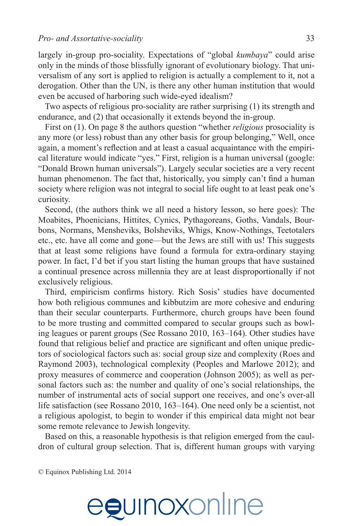largely in-group pro-sociality. Expectations of "global *kumbaya*" could arise only in the minds of those blissfully ignorant of evolutionary biology. That universalism of any sort is applied to religion is actually a complement to it, not a derogation. Other than the UN, is there any other human institution that would even be accused of harboring such wide-eyed idealism?

Two aspects of religious pro-sociality are rather surprising (1) its strength and endurance, and (2) that occasionally it extends beyond the in-group.

First on (1). On page 8 the authors question "whether *religious* prosociality is any more (or less) robust than any other basis for group belonging," Well, once again, a moment's reflection and at least a casual acquaintance with the empirical literature would indicate "yes." First, religion is a human universal (google: "Donald Brown human universals"). Largely secular societies are a very recent human phenomenon. The fact that, historically, you simply can't find a human society where religion was not integral to social life ought to at least peak one's curiosity.

Second, (the authors think we all need a history lesson, so here goes): The Moabites, Phoenicians, Hittites, Cynics, Pythagoreans, Goths, Vandals, Bourbons, Normans, Mensheviks, Bolsheviks, Whigs, Know-Nothings, Teetotalers etc., etc. have all come and gone—but the Jews are still with us! This suggests that at least some religions have found a formula for extra-ordinary staying power. In fact, I'd bet if you start listing the human groups that have sustained a continual presence across millennia they are at least disproportionally if not exclusively religious.

Third, empiricism confirms history. Rich Sosis' studies have documented how both religious communes and kibbutzim are more cohesive and enduring than their secular counterparts. Furthermore, church groups have been found to be more trusting and committed compared to secular groups such as bowling leagues or parent groups (See Rossano 2010, 163–164). Other studies have found that religious belief and practice are significant and often unique predictors of sociological factors such as: social group size and complexity (Roes and Raymond 2003), technological complexity (Peoples and Marlowe 2012); and proxy measures of commerce and cooperation (Johnson 2005); as well as personal factors such as: the number and quality of one's social relationships, the number of instrumental acts of social support one receives, and one's over-all life satisfaction (see Rossano 2010, 163–164). One need only be a scientist, not a religious apologist, to begin to wonder if this empirical data might not bear some remote relevance to Jewish longevity.

Based on this, a reasonable hypothesis is that religion emerged from the cauldron of cultural group selection. That is, different human groups with varying

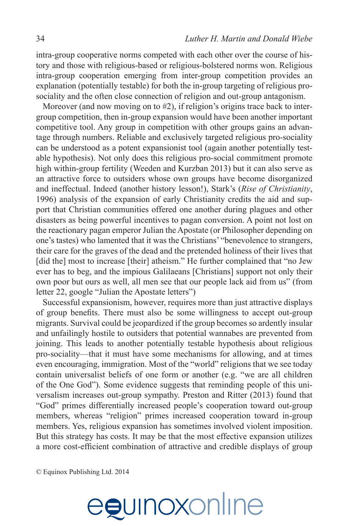intra-group cooperative norms competed with each other over the course of history and those with religious-based or religious-bolstered norms won. Religious intra-group cooperation emerging from inter-group competition provides an explanation (potentially testable) for both the in-group targeting of religious prosociality and the often close connection of religion and out-group antagonism.

Moreover (and now moving on to #2), if religion's origins trace back to intergroup competition, then in-group expansion would have been another important competitive tool. Any group in competition with other groups gains an advantage through numbers. Reliable and exclusively targeted religious pro-sociality can be understood as a potent expansionist tool (again another potentially testable hypothesis). Not only does this religious pro-social commitment promote high within-group fertility (Weeden and Kurzban 2013) but it can also serve as an attractive force to outsiders whose own groups have become disorganized and ineffectual. Indeed (another history lesson!), Stark's (*Rise of Christianity*, 1996) analysis of the expansion of early Christianity credits the aid and support that Christian communities offered one another during plagues and other disasters as being powerful incentives to pagan conversion. A point not lost on the reactionary pagan emperor Julian the Apostate (or Philosopher depending on one's tastes) who lamented that it was the Christians' "benevolence to strangers, their care for the graves of the dead and the pretended holiness of their lives that [did the] most to increase [their] atheism." He further complained that "no Jew ever has to beg, and the impious Galilaeans [Christians] support not only their own poor but ours as well, all men see that our people lack aid from us" (from letter 22, google "Julian the Apostate letters")

Successful expansionism, however, requires more than just attractive displays of group benefits. There must also be some willingness to accept out-group migrants. Survival could be jeopardized if the group becomes so ardently insular and unfailingly hostile to outsiders that potential wannabes are prevented from joining. This leads to another potentially testable hypothesis about religious pro-sociality—that it must have some mechanisms for allowing, and at times even encouraging, immigration. Most of the "world" religions that we see today contain universalist beliefs of one form or another (e.g. "we are all children of the One God"). Some evidence suggests that reminding people of this universalism increases out-group sympathy. Preston and Ritter (2013) found that "God" primes differentially increased people's cooperation toward out-group members, whereas "religion" primes increased cooperation toward in-group members. Yes, religious expansion has sometimes involved violent imposition. But this strategy has costs. It may be that the most effective expansion utilizes a more cost-efficient combination of attractive and credible displays of group

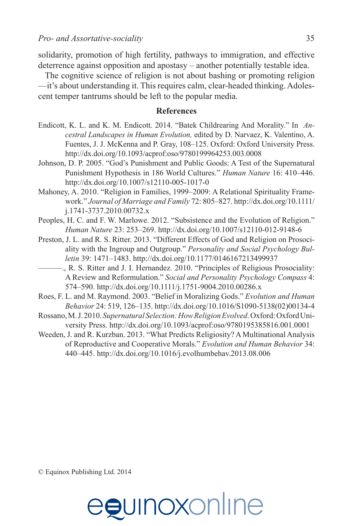solidarity, promotion of high fertility, pathways to immigration, and effective deterrence against opposition and apostasy – another potentially testable idea.

The cognitive science of religion is not about bashing or promoting religion —it's about understanding it. This requires calm, clear-headed thinking. Adolescent temper tantrums should be left to the popular media.

#### **References**

- Endicott, K. L. and K. M. Endicott. 2014. "Batek Childrearing And Morality." In *Ancestral Landscapes in Human Evolution,* edited by D. Narvaez, K. Valentino, A. Fuentes, J. J. McKenna and P. Gray, 108–125. Oxford: Oxford University Press. <http://dx.doi.org/10.1093/acprof:oso/9780199964253.003.0008>
- Johnson, D. P. 2005. "God's Punishment and Public Goods: A Test of the Supernatural Punishment Hypothesis in 186 World Cultures." *Human Nature* 16: 410–446. <http://dx.doi.org/10.1007/s12110-005-1017-0>
- Mahoney, A. 2010. "Religion in Families, 1999–2009: A Relational Spirituality Framework." *Journal of Marriage and Family* 72: 805–827. [http://dx.doi.org/10.1111/](http://dx.doi.org/10.1111/j.1741-3737.2010.00732.x) [j.1741-3737.2010.00732.x](http://dx.doi.org/10.1111/j.1741-3737.2010.00732.x)
- Peoples, H. C. and F. W. Marlowe. 2012. "Subsistence and the Evolution of Religion." *Human Nature* 23: 253–269.<http://dx.doi.org/10.1007/s12110-012-9148-6>
- Preston, J. L. and R. S. Ritter. 2013. "Different Effects of God and Religion on Prosociality with the Ingroup and Outgroup." *Personality and Social Psychology Bulletin* 39: 1471–1483. <http://dx.doi.org/10.1177/0146167213499937>
- ———., R. S. Ritter and J. I. Hernandez. 2010. "Principles of Religious Prosociality: A Review and Reformulation." *Social and Personality Psychology Compass* 4: 574–590. <http://dx.doi.org/10.1111/j.1751-9004.2010.00286.x>
- Roes, F. L. and M. Raymond. 2003. "Belief in Moralizing Gods." *Evolution and Human Behavior* 24: 519, 126–135. [http://dx.doi.org/10.1016/S1090-5138\(02\)00134-4](http://dx.doi.org/10.1016/S1090-5138(02)00134-4)
- Rossano, M. J. 2010. *Supernatural Selection: How Religion Evolved*. Oxford: Oxford University Press. <http://dx.doi.org/10.1093/acprof:oso/9780195385816.001.0001>
- Weeden, J. and R. Kurzban. 2013. "What Predicts Religiosity? A Multinational Analysis of Reproductive and Cooperative Morals." *Evolution and Human Behavior* 34: 440–445. <http://dx.doi.org/10.1016/j.evolhumbehav.2013.08.006>

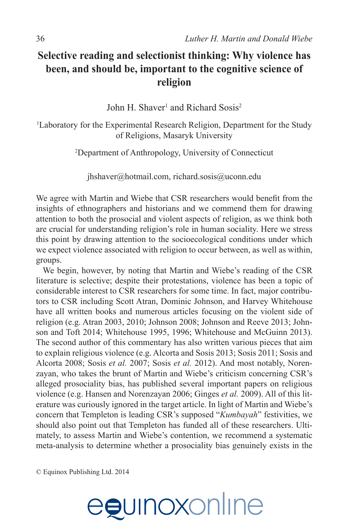### **Selective reading and selectionist thinking: Why violence has been, and should be, important to the cognitive science of religion**

John H. Shaver<sup>1</sup> and Richard Sosis<sup>2</sup>

1 Laboratory for the Experimental Research Religion, Department for the Study of Religions, Masaryk University

2 Department of Anthropology, University of Connecticut

[jhshaver@hotmail.com,](jhshaver@hotmail.com)<richard.sosis@uconn.edu>

We agree with Martin and Wiebe that CSR researchers would benefit from the insights of ethnographers and historians and we commend them for drawing attention to both the prosocial and violent aspects of religion, as we think both are crucial for understanding religion's role in human sociality. Here we stress this point by drawing attention to the socioecological conditions under which we expect violence associated with religion to occur between, as well as within, groups.

We begin, however, by noting that Martin and Wiebe's reading of the CSR literature is selective; despite their protestations, violence has been a topic of considerable interest to CSR researchers for some time. In fact, major contributors to CSR including Scott Atran, Dominic Johnson, and Harvey Whitehouse have all written books and numerous articles focusing on the violent side of religion (e.g. Atran 2003, 2010; Johnson 2008; Johnson and Reeve 2013; Johnson and Toft 2014; Whitehouse 1995, 1996; Whitehouse and McGuinn 2013). The second author of this commentary has also written various pieces that aim to explain religious violence (e.g. Alcorta and Sosis 2013; Sosis 2011; Sosis and Alcorta 2008; Sosis *et al.* 2007; Sosis *et al.* 2012). And most notably, Norenzayan, who takes the brunt of Martin and Wiebe's criticism concerning CSR's alleged prosociality bias, has published several important papers on religious violence (e.g. Hansen and Norenzayan 2006; Ginges *et al.* 2009). All of this literature was curiously ignored in the target article. In light of Martin and Wiebe's concern that Templeton is leading CSR's supposed "*Kumbayah*" festivities, we should also point out that Templeton has funded all of these researchers. Ultimately, to assess Martin and Wiebe's contention, we recommend a systematic meta-analysis to determine whether a prosociality bias genuinely exists in the

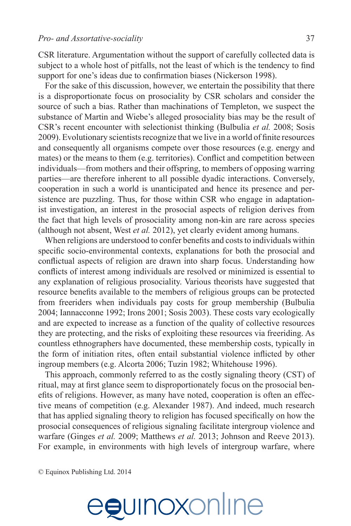CSR literature. Argumentation without the support of carefully collected data is subject to a whole host of pitfalls, not the least of which is the tendency to find support for one's ideas due to confirmation biases (Nickerson 1998).

For the sake of this discussion, however, we entertain the possibility that there is a disproportionate focus on prosociality by CSR scholars and consider the source of such a bias. Rather than machinations of Templeton, we suspect the substance of Martin and Wiebe's alleged prosociality bias may be the result of CSR's recent encounter with selectionist thinking (Bulbulia *et al.* 2008; Sosis 2009). Evolutionary scientists recognize that we live in a world of finite resources and consequently all organisms compete over those resources (e.g. energy and mates) or the means to them (e.g. territories). Conflict and competition between individuals—from mothers and their offspring, to members of opposing warring parties—are therefore inherent to all possible dyadic interactions. Conversely, cooperation in such a world is unanticipated and hence its presence and persistence are puzzling. Thus, for those within CSR who engage in adaptationist investigation, an interest in the prosocial aspects of religion derives from the fact that high levels of prosociality among non-kin are rare across species (although not absent, West *et al.* 2012), yet clearly evident among humans.

When religions are understood to confer benefits and costs to individuals within specific socio-environmental contexts, explanations for both the prosocial and conflictual aspects of religion are drawn into sharp focus. Understanding how conflicts of interest among individuals are resolved or minimized is essential to any explanation of religious prosociality. Various theorists have suggested that resource benefits available to the members of religious groups can be protected from freeriders when individuals pay costs for group membership (Bulbulia 2004; Iannacconne 1992; Irons 2001; Sosis 2003). These costs vary ecologically and are expected to increase as a function of the quality of collective resources they are protecting, and the risks of exploiting these resources via freeriding. As countless ethnographers have documented, these membership costs, typically in the form of initiation rites, often entail substantial violence inflicted by other ingroup members (e.g. Alcorta 2006; Tuzin 1982; Whitehouse 1996).

This approach, commonly referred to as the costly signaling theory (CST) of ritual, may at first glance seem to disproportionately focus on the prosocial benefits of religions. However, as many have noted, cooperation is often an effective means of competition (e.g. Alexander 1987). And indeed, much research that has applied signaling theory to religion has focused specifically on how the prosocial consequences of religious signaling facilitate intergroup violence and warfare (Ginges *et al.* 2009; Matthews *et al.* 2013; Johnson and Reeve 2013). For example, in environments with high levels of intergroup warfare, where

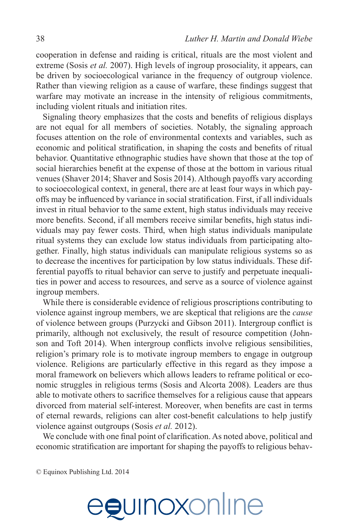cooperation in defense and raiding is critical, rituals are the most violent and extreme (Sosis *et al.* 2007). High levels of ingroup prosociality, it appears, can be driven by socioecological variance in the frequency of outgroup violence. Rather than viewing religion as a cause of warfare, these findings suggest that warfare may motivate an increase in the intensity of religious commitments, including violent rituals and initiation rites.

Signaling theory emphasizes that the costs and benefits of religious displays are not equal for all members of societies. Notably, the signaling approach focuses attention on the role of environmental contexts and variables, such as economic and political stratification, in shaping the costs and benefits of ritual behavior. Quantitative ethnographic studies have shown that those at the top of social hierarchies benefit at the expense of those at the bottom in various ritual venues (Shaver 2014; Shaver and Sosis 2014). Although payoffs vary according to socioecological context, in general, there are at least four ways in which payoffs may be influenced by variance in social stratification. First, if all individuals invest in ritual behavior to the same extent, high status individuals may receive more benefits. Second, if all members receive similar benefits, high status individuals may pay fewer costs. Third, when high status individuals manipulate ritual systems they can exclude low status individuals from participating altogether. Finally, high status individuals can manipulate religious systems so as to decrease the incentives for participation by low status individuals. These differential payoffs to ritual behavior can serve to justify and perpetuate inequalities in power and access to resources, and serve as a source of violence against ingroup members.

While there is considerable evidence of religious proscriptions contributing to violence against ingroup members, we are skeptical that religions are the *cause* of violence between groups (Purzycki and Gibson 2011). Intergroup conflict is primarily, although not exclusively, the result of resource competition (Johnson and Toft 2014). When intergroup conflicts involve religious sensibilities, religion's primary role is to motivate ingroup members to engage in outgroup violence. Religions are particularly effective in this regard as they impose a moral framework on believers which allows leaders to reframe political or economic struggles in religious terms (Sosis and Alcorta 2008). Leaders are thus able to motivate others to sacrifice themselves for a religious cause that appears divorced from material self-interest. Moreover, when benefits are cast in terms of eternal rewards, religions can alter cost-benefit calculations to help justify violence against outgroups (Sosis *et al.* 2012).

We conclude with one final point of clarification. As noted above, political and economic stratification are important for shaping the payoffs to religious behav-

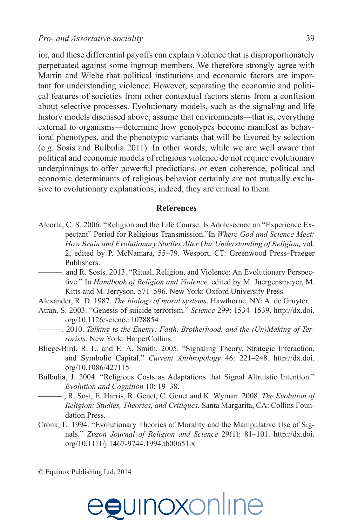ior, and these differential payoffs can explain violence that is disproportionately perpetuated against some ingroup members. We therefore strongly agree with Martin and Wiebe that political institutions and economic factors are important for understanding violence. However, separating the economic and political features of societies from other contextual factors stems from a confusion about selective processes. Evolutionary models, such as the signaling and life history models discussed above, assume that environments—that is, everything external to organisms—determine how genotypes become manifest as behavioral phenotypes, and the phenotypic variants that will be favored by selection (e.g. Sosis and Bulbulia 2011). In other words, while we are well aware that political and economic models of religious violence do not require evolutionary underpinnings to offer powerful predictions, or even coherence, political and economic determinants of religious behavior certainly are not mutually exclusive to evolutionary explanations; indeed, they are critical to them.

#### **References**

- Alcorta, C. S. 2006. "Religion and the Life Course: Is Adolescence an "Experience Expectant" Period for Religious Transmission."In *Where God and Science Meet: How Brain and Evolutionary Studies Alter Our Understanding of Religion,* vol. 2, edited by P. McNamara, 55–79. Wesport, CT: Greenwood Press–Praeger Publishers.
	- ———. and R. Sosis. 2013. "Ritual, Religion, and Violence: An Evolutionary Perspective." In *Handbook of Religion and Violence,* edited by M. Juergensmeyer, M. Kitts and M. Jerryson, 571–596. New York: Oxford University Press.
- Alexander, R. D. 1987. *The biology of moral systems*. Hawthorne, NY: A. de Gruyter.
- Atran, S. 2003. "Genesis of suicide terrorism." *Science* 299: 1534–1539. [http://dx.doi.](http://dx.doi.org/10.1126/science.1078854) [org/10.1126/science.1078854](http://dx.doi.org/10.1126/science.1078854)
- $-$ , 2010. *Talking to the Enemy: Faith, Brotherhood, and the (Un)Making of Terrorists*. New York: HarperCollins.
- Bliege-Bird, R. L. and E. A. Smith. 2005. "Signaling Theory, Strategic Interaction, and Symbolic Capital." *Current Anthropology* 46: 221–248. [http://dx.doi.](http://dx.doi.org/10.1086/427115) [org/10.1086/427115](http://dx.doi.org/10.1086/427115)
- Bulbulia, J. 2004. "Religious Costs as Adaptations that Signal Altruistic Intention." *Evolution and Cognition* 10: 19–38.
	- ———., R. Sosi, E. Harris, R. Genet, C. Genet and K. Wyman. 2008. *The Evolution of Religion: Studies, Theories, and Critiques.* Santa Margarita, CA: Collins Foundation Press.
- Cronk, L. 1994. "Evolutionary Theories of Morality and the Manipulative Use of Signals." *Zygon Journal of Religion and Science* 29(1): 81–101. [http://dx.doi.](http://dx.doi.org/10.1111/j.1467-9744.1994.tb00651.x) [org/10.1111/j.1467-9744.1994.tb00651.x](http://dx.doi.org/10.1111/j.1467-9744.1994.tb00651.x)

© Equinox Publishing Ltd. 2014

# egunoxonline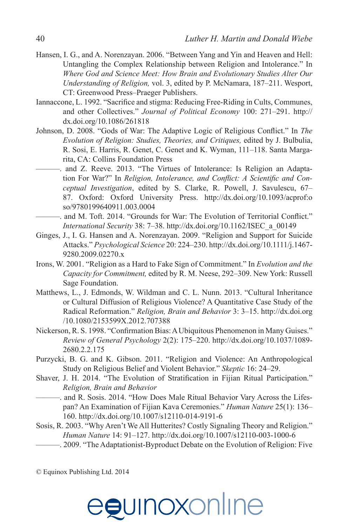- Hansen, I. G., and A. Norenzayan. 2006. "Between Yang and Yin and Heaven and Hell: Untangling the Complex Relationship between Religion and Intolerance." In *Where God and Science Meet: How Brain and Evolutionary Studies Alter Our Understanding of Religion,* vol. 3, edited by P. McNamara, 187–211. Wesport, CT: Greenwood Press–Praeger Publishers.
- Iannaccone, L. 1992. "Sacrifice and stigma: Reducing Free-Riding in Cults, Communes, and other Collectives." *Journal of Political Economy* 100: 271–291. [http://](http://dx.doi.org/10.1086/261818) [dx.doi.org/10.1086/261818](http://dx.doi.org/10.1086/261818)
- Johnson, D. 2008. "Gods of War: The Adaptive Logic of Religious Conflict." In *The Evolution of Religion: Studies, Theories, and Critiques,* edited by J. Bulbulia, R. Sosi, E. Harris, R. Genet, C. Genet and K. Wyman, 111–118. Santa Margarita, CA: Collins Foundation Press
- ———. and Z. Reeve. 2013. "The Virtues of Intolerance: Is Religion an Adaptation For War?" In *Religion, Intolerance, and Conflict: A Scientific and Conceptual Investigation*, edited by S. Clarke, R. Powell, J. Savulescu, 67– 87. Oxford: Oxford University Press. [http://dx.doi.org/10.1093/acprof:o](http://dx.doi.org/10.1093/acprof:oso/9780199640911.003.0004) [so/9780199640911.003.0004](http://dx.doi.org/10.1093/acprof:oso/9780199640911.003.0004)
- ———. and M. Toft. 2014. "Grounds for War: The Evolution of Territorial Conflict." *International Security* 38: 7–38. [http://dx.doi.org/10.1162/ISEC\\_a\\_00149](http://dx.doi.org/10.1162/ISEC_a_00149)
- Ginges, J., I. G. Hansen and A. Norenzayan. 2009. "Religion and Support for Suicide Attacks." *Psychological Science* 20: 224–230. [http://dx.doi.org/10.1111/j.1467-](http://dx.doi.org/10.1111/j.1467-9280.2009.02270.x) [9280.2009.02270.x](http://dx.doi.org/10.1111/j.1467-9280.2009.02270.x)
- Irons, W. 2001. "Religion as a Hard to Fake Sign of Commitment." In *Evolution and the Capacity for Commitment,* edited by R. M. Neese, 292–309. New York: Russell Sage Foundation.
- Matthews, L., J. Edmonds, W. Wildman and C. L. Nunn. 2013. "Cultural Inheritance or Cultural Diffusion of Religious Violence? A Quantitative Case Study of the Radical Reformation." *Religion, Brain and Behavior* 3: 3–15. [http://dx.doi.org](http://dx.doi.org/10.1080/2153599X.2012.707388) [/10.1080/2153599X.2012.707388](http://dx.doi.org/10.1080/2153599X.2012.707388)
- Nickerson, R. S. 1998. "Confirmation Bias: A Ubiquitous Phenomenon in Many Guises." *Review of General Psychology* 2(2): 175–220. [http://dx.doi.org/10.1037/1089-](http://dx.doi.org/10.1037/1089-2680.2.2.175) [2680.2.2.175](http://dx.doi.org/10.1037/1089-2680.2.2.175)
- Purzycki, B. G. and K. Gibson. 2011. "Religion and Violence: An Anthropological Study on Religious Belief and Violent Behavior." *Skeptic* 16: 24–29.
- Shaver, J. H. 2014. "The Evolution of Stratification in Fijian Ritual Participation." *Religion, Brain and Behavior* 
	- ———. and R. Sosis. 2014. "How Does Male Ritual Behavior Vary Across the Lifespan? An Examination of Fijian Kava Ceremonies." *Human Nature* 25(1): 136– 160.<http://dx.doi.org/10.1007/s12110-014-9191-6>
- Sosis, R. 2003. "Why Aren't We All Hutterites? Costly Signaling Theory and Religion." *Human Nature* 14: 91–127.<http://dx.doi.org/10.1007/s12110-003-1000-6>
	- ———. 2009. "The Adaptationist-Byproduct Debate on the Evolution of Religion: Five

© Equinox Publishing Ltd. 2014

## egunoxonline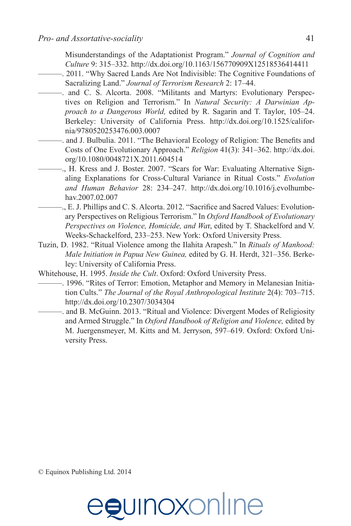Misunderstandings of the Adaptationist Program." *Journal of Cognition and Culture* 9: 315–332.<http://dx.doi.org/10.1163/156770909X12518536414411>

———. 2011. "Why Sacred Lands Are Not Indivisible: The Cognitive Foundations of Sacralizing Land." *Journal of Terrorism Research* 2: 17–44.

- ———. and C. S. Alcorta. 2008. "Militants and Martyrs: Evolutionary Perspectives on Religion and Terrorism." In *Natural Security: A Darwinian Approach to a Dangerous World,* edited by R. Sagarin and T. Taylor, 105–24. Berkeley: University of California Press. [http://dx.doi.org/10.1525/califor](http://dx.doi.org/10.1525/california/9780520253476.003.0007)[nia/9780520253476.003.0007](http://dx.doi.org/10.1525/california/9780520253476.003.0007)
	- ———. and J. Bulbulia. 2011. "The Behavioral Ecology of Religion: The Benefits and Costs of One Evolutionary Approach." *Religion* 41(3): 341–362. [http://dx.doi.](http://dx.doi.org/10.1080/0048721X.2011.604514) [org/10.1080/0048721X.2011.604514](http://dx.doi.org/10.1080/0048721X.2011.604514)
	- ———., H. Kress and J. Boster. 2007. "Scars for War: Evaluating Alternative Signaling Explanations for Cross-Cultural Variance in Ritual Costs." *Evolution and Human Behavior* 28: 234–247. [http://dx.doi.org/10.1016/j.evolhumbe](http://dx.doi.org/10.1016/j.evolhumbehav.2007.02.007)[hav.2007.02.007](http://dx.doi.org/10.1016/j.evolhumbehav.2007.02.007)
	- ———., E. J. Phillips and C. S. Alcorta. 2012. "Sacrifice and Sacred Values: Evolutionary Perspectives on Religious Terrorism." In *Oxford Handbook of Evolutionary Perspectives on Violence, Homicide, and Wa*r, edited by T. Shackelford and V. Weeks-Schackelford, 233–253. New York: Oxford University Press.
- Tuzin, D. 1982. "Ritual Violence among the Ilahita Arapesh." In *Rituals of Manhood: Male Initiation in Papua New Guinea,* edited by G. H. Herdt, 321–356. Berkeley: University of California Press.
- Whitehouse, H. 1995. *Inside the Cult*. Oxford: Oxford University Press.
- ———. 1996. "Rites of Terror: Emotion, Metaphor and Memory in Melanesian Initiation Cults." *The Journal of the Royal Anthropological Institute* 2(4): 703–715. <http://dx.doi.org/10.2307/3034304>
	- ———. and B. McGuinn. 2013. "Ritual and Violence: Divergent Modes of Religiosity and Armed Struggle." In *Oxford Handbook of Religion and Violence,* edited by M. Juergensmeyer, M. Kitts and M. Jerryson, 597–619. Oxford: Oxford University Press.

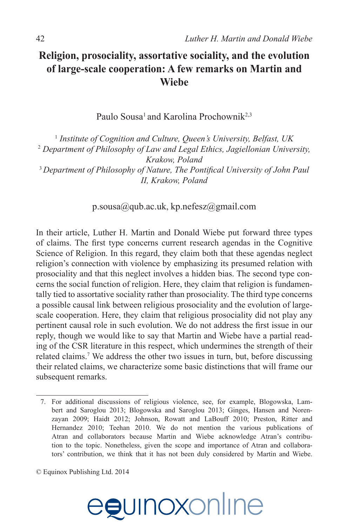### **Religion, prosociality, assortative sociality, and the evolution of large-scale cooperation: A few remarks on Martin and Wiebe**

Paulo Sousa<sup>1</sup> and Karolina Prochownik<sup>2,3</sup>

<sup>1</sup> *Institute of Cognition and Culture, Queen's University, Belfast, UK* 2  *Department of Philosophy of Law and Legal Ethics, Jagiellonian University, Krakow, Poland* <sup>3</sup>*Department of Philosophy of Nature, The Pontifical University of John Paul II, Krakow, Poland*

[p.sousa@qub.ac.uk,](p.sousa@qub.ac.uk)<kp.nefesz@gmail.com>

In their article, Luther H. Martin and Donald Wiebe put forward three types of claims. The first type concerns current research agendas in the Cognitive Science of Religion. In this regard, they claim both that these agendas neglect religion's connection with violence by emphasizing its presumed relation with prosociality and that this neglect involves a hidden bias. The second type concerns the social function of religion. Here, they claim that religion is fundamentally tied to assortative sociality rather than prosociality. The third type concerns a possible causal link between religious prosociality and the evolution of largescale cooperation. Here, they claim that religious prosociality did not play any pertinent causal role in such evolution. We do not address the first issue in our reply, though we would like to say that Martin and Wiebe have a partial reading of the CSR literature in this respect, which undermines the strength of their related claims.<sup>7</sup> We address the other two issues in turn, but, before discussing their related claims, we characterize some basic distinctions that will frame our subsequent remarks.



<sup>7.</sup> For additional discussions of religious violence, see, for example, Blogowska, Lambert and Saroglou 2013; Blogowska and Saroglou 2013; Ginges, Hansen and Norenzayan 2009; Haidt 2012; Johnson, Rowatt and LaBouff 2010; Preston, Ritter and Hernandez 2010; Teehan 2010. We do not mention the various publications of Atran and collaborators because Martin and Wiebe acknowledge Atran's contribution to the topic. Nonetheless, given the scope and importance of Atran and collaborators' contribution, we think that it has not been duly considered by Martin and Wiebe.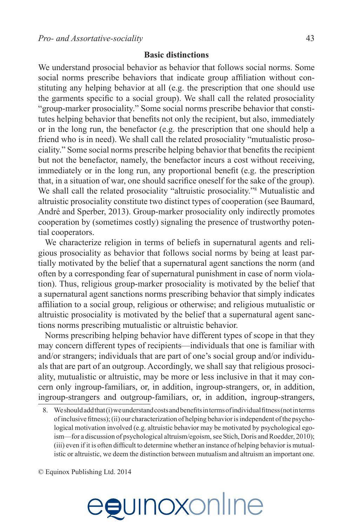#### **Basic distinctions**

We understand prosocial behavior as behavior that follows social norms. Some social norms prescribe behaviors that indicate group affiliation without constituting any helping behavior at all (e.g. the prescription that one should use the garments specific to a social group). We shall call the related prosociality "group-marker prosociality." Some social norms prescribe behavior that constitutes helping behavior that benefits not only the recipient, but also, immediately or in the long run, the benefactor (e.g. the prescription that one should help a friend who is in need). We shall call the related prosociality "mutualistic prosociality." Some social norms prescribe helping behavior that benefits the recipient but not the benefactor, namely, the benefactor incurs a cost without receiving, immediately or in the long run, any proportional benefit (e.g. the prescription that, in a situation of war, one should sacrifice oneself for the sake of the group). We shall call the related prosociality "altruistic prosociality."<sup>8</sup> Mutualistic and altruistic prosociality constitute two distinct types of cooperation (see Baumard, André and Sperber, 2013). Group-marker prosociality only indirectly promotes cooperation by (sometimes costly) signaling the presence of trustworthy potential cooperators.

We characterize religion in terms of beliefs in supernatural agents and religious prosociality as behavior that follows social norms by being at least partially motivated by the belief that a supernatural agent sanctions the norm (and often by a corresponding fear of supernatural punishment in case of norm violation). Thus, religious group-marker prosociality is motivated by the belief that a supernatural agent sanctions norms prescribing behavior that simply indicates affiliation to a social group, religious or otherwise; and religious mutualistic or altruistic prosociality is motivated by the belief that a supernatural agent sanctions norms prescribing mutualistic or altruistic behavior.

Norms prescribing helping behavior have different types of scope in that they may concern different types of recipients—individuals that one is familiar with and/or strangers; individuals that are part of one's social group and/or individuals that are part of an outgroup. Accordingly, we shall say that religious prosociality, mutualistic or altruistic, may be more or less inclusive in that it may concern only ingroup-familiars, or, in addition, ingroup-strangers, or, in addition, ingroup-strangers and outgroup-familiars, or, in addition, ingroup-strangers,

© Equinox Publishing Ltd. 2014

## egunoxonline

<sup>8.</sup> We should add that (i) we understand costs and benefits in terms of individual fitness (not in terms of inclusive fitness); (ii) our characterization of helping behavior is independent of the psychological motivation involved (e.g. altruistic behavior may be motivated by psychological egoism—for a discussion of psychological altruism/egoism, see Stich, Doris and Roedder, 2010); (iii) even if it is often difficult to determine whether an instance of helping behavior is mutualistic or altruistic, we deem the distinction between mutualism and altruism an important one.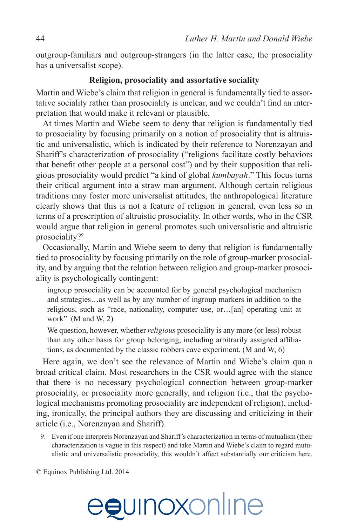outgroup-familiars and outgroup-strangers (in the latter case, the prosociality has a universalist scope).

#### **Religion, prosociality and assortative sociality**

Martin and Wiebe's claim that religion in general is fundamentally tied to assortative sociality rather than prosociality is unclear, and we couldn't find an interpretation that would make it relevant or plausible.

At times Martin and Wiebe seem to deny that religion is fundamentally tied to prosociality by focusing primarily on a notion of prosociality that is altruistic and universalistic, which is indicated by their reference to Norenzayan and Shariff's characterization of prosociality ("religions facilitate costly behaviors that benefit other people at a personal cost") and by their supposition that religious prosociality would predict "a kind of global *kumbayah*." This focus turns their critical argument into a straw man argument. Although certain religious traditions may foster more universalist attitudes, the anthropological literature clearly shows that this is not a feature of religion in general, even less so in terms of a prescription of altruistic prosociality. In other words, who in the CSR would argue that religion in general promotes such universalistic and altruistic prosociality?9

Occasionally, Martin and Wiebe seem to deny that religion is fundamentally tied to prosociality by focusing primarily on the role of group-marker prosociality, and by arguing that the relation between religion and group-marker prosociality is psychologically contingent:

ingroup prosociality can be accounted for by general psychological mechanism and strategies…as well as by any number of ingroup markers in addition to the religious, such as "race, nationality, computer use, or…[an] operating unit at work" (M and W, 2)

We question, however, whether *religious* prosociality is any more (or less) robust than any other basis for group belonging, including arbitrarily assigned affiliations, as documented by the classic robbers cave experiment. (M and W, 6)

Here again, we don't see the relevance of Martin and Wiebe's claim qua a broad critical claim. Most researchers in the CSR would agree with the stance that there is no necessary psychological connection between group-marker prosociality, or prosociality more generally, and religion (i.e., that the psychological mechanisms promoting prosociality are independent of religion), including, ironically, the principal authors they are discussing and criticizing in their article (i.e., Norenzayan and Shariff).



<sup>9.</sup> Even if one interprets Norenzayan and Shariff's characterization in terms of mutualism (their characterization is vague in this respect) and take Martin and Wiebe's claim to regard mutualistic and universalistic prosociality, this wouldn't affect substantially our criticism here.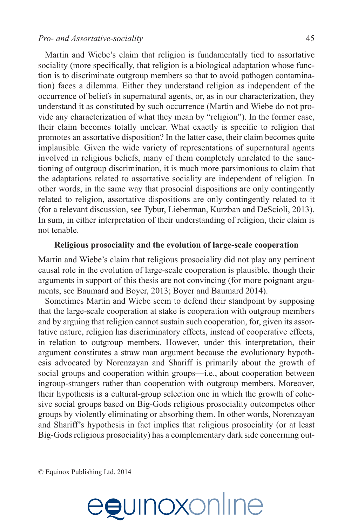Martin and Wiebe's claim that religion is fundamentally tied to assortative sociality (more specifically, that religion is a biological adaptation whose function is to discriminate outgroup members so that to avoid pathogen contamination) faces a dilemma. Either they understand religion as independent of the occurrence of beliefs in supernatural agents, or, as in our characterization, they understand it as constituted by such occurrence (Martin and Wiebe do not provide any characterization of what they mean by "religion"). In the former case, their claim becomes totally unclear. What exactly is specific to religion that promotes an assortative disposition? In the latter case, their claim becomes quite implausible. Given the wide variety of representations of supernatural agents involved in religious beliefs, many of them completely unrelated to the sanctioning of outgroup discrimination, it is much more parsimonious to claim that the adaptations related to assortative sociality are independent of religion. In other words, in the same way that prosocial dispositions are only contingently related to religion, assortative dispositions are only contingently related to it (for a relevant discussion, see Tybur, Lieberman, Kurzban and DeScioli, 2013). In sum, in either interpretation of their understanding of religion, their claim is not tenable.

#### **Religious prosociality and the evolution of large-scale cooperation**

Martin and Wiebe's claim that religious prosociality did not play any pertinent causal role in the evolution of large-scale cooperation is plausible, though their arguments in support of this thesis are not convincing (for more poignant arguments, see Baumard and Boyer, 2013; Boyer and Baumard 2014).

Sometimes Martin and Wiebe seem to defend their standpoint by supposing that the large-scale cooperation at stake is cooperation with outgroup members and by arguing that religion cannot sustain such cooperation, for, given its assortative nature, religion has discriminatory effects, instead of cooperative effects, in relation to outgroup members. However, under this interpretation, their argument constitutes a straw man argument because the evolutionary hypothesis advocated by Norenzayan and Shariff is primarily about the growth of social groups and cooperation within groups—i.e., about cooperation between ingroup-strangers rather than cooperation with outgroup members. Moreover, their hypothesis is a cultural-group selection one in which the growth of cohesive social groups based on Big-Gods religious prosociality outcompetes other groups by violently eliminating or absorbing them. In other words, Norenzayan and Shariff's hypothesis in fact implies that religious prosociality (or at least Big-Gods religious prosociality) has a complementary dark side concerning out-

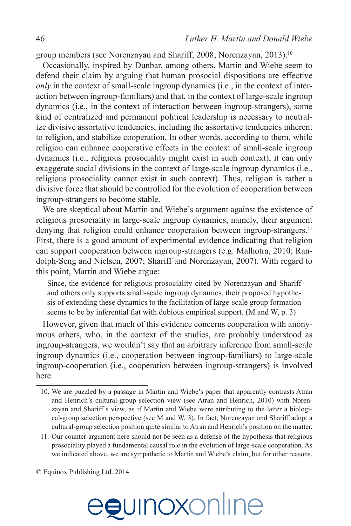group members (see Norenzayan and Shariff, 2008; Norenzayan, 2013).10

Occasionally, inspired by Dunbar, among others, Martin and Wiebe seem to defend their claim by arguing that human prosocial dispositions are effective *only* in the context of small-scale ingroup dynamics (i.e., in the context of interaction between ingroup-familiars) and that, in the context of large-scale ingroup dynamics (i.e., in the context of interaction between ingroup-strangers), some kind of centralized and permanent political leadership is necessary to neutralize divisive assortative tendencies, including the assortative tendencies inherent to religion, and stabilize cooperation. In other words, according to them, while religion can enhance cooperative effects in the context of small-scale ingroup dynamics (i.e., religious prosociality might exist in such context), it can only exaggerate social divisions in the context of large-scale ingroup dynamics (i.e., religious prosociality cannot exist in such context). Thus, religion is rather a divisive force that should be controlled for the evolution of cooperation between ingroup-strangers to become stable.

We are skeptical about Martin and Wiebe's argument against the existence of religious prosociality in large-scale ingroup dynamics, namely, their argument denying that religion could enhance cooperation between ingroup-strangers.<sup>11</sup> First, there is a good amount of experimental evidence indicating that religion can support cooperation between ingroup-strangers (e.g. Malhotra, 2010; Randolph-Seng and Nielsen, 2007; Shariff and Norenzayan, 2007). With regard to this point, Martin and Wiebe argue:

Since, the evidence for religious prosociality cited by Norenzayan and Shariff and others only supports small-scale ingroup dynamics, their proposed hypothesis of extending these dynamics to the facilitation of large-scale group formation seems to be by inferential fiat with dubious empirical support. (M and W, p. 3)

However, given that much of this evidence concerns cooperation with anonymous others, who, in the context of the studies, are probably understood as ingroup-strangers, we wouldn't say that an arbitrary inference from small-scale ingroup dynamics (i.e., cooperation between ingroup-familiars) to large-scale ingroup-cooperation (i.e., cooperation between ingroup-strangers) is involved here.



<sup>10.</sup> We are puzzled by a passage in Martin and Wiebe's paper that apparently contrasts Atran and Henrich's cultural-group selection view (see Atran and Henrich, 2010) with Norenzayan and Shariff's view, as if Martin and Wiebe were attributing to the latter a biological-group selection perspective (see M and W, 3). In fact, Norenzayan and Shariff adopt a cultural-group selection position quite similar to Atran and Henrich's position on the matter.

<sup>11.</sup> Our counter-argument here should not be seen as a defense of the hypothesis that religious prosociality played a fundamental causal role in the evolution of large-scale cooperation. As we indicated above, we are sympathetic to Martin and Wiebe's claim, but for other reasons.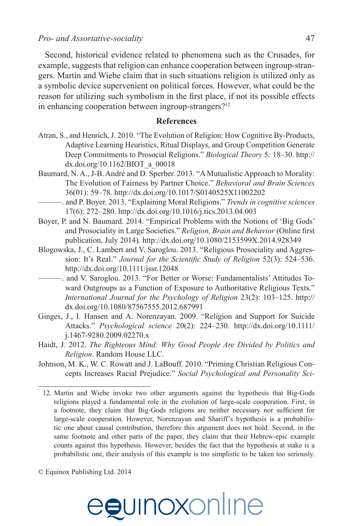Second, historical evidence related to phenomena such as the Crusades, for example, suggests that religion can enhance cooperation between ingroup-strangers. Martin and Wiebe claim that in such situations religion is utilized only as a symbolic device supervenient on political forces. However, what could be the reason for utilizing such symbolism in the first place, if not its possible effects in enhancing cooperation between ingroup-strangers?<sup>12</sup>

#### **References**

- Atran, S., and Henrich, J. 2010. "The Evolution of Religion: How Cognitive By-Products, Adaptive Learning Heuristics, Ritual Displays, and Group Competition Generate Deep Commitments to Prosocial Religions." *Biological Theory* 5*:* 18–30. [http://](http://dx.doi.org/10.1162/BIOT_a_00018) [dx.doi.org/10.1162/BIOT\\_a\\_00018](http://dx.doi.org/10.1162/BIOT_a_00018)
- Baumard, N. A., J-B. André and D. Sperber. 2013. "A Mutualistic Approach to Morality: The Evolution of Fairness by Partner Choice." *Behavioral and Brain Sciences* 36(01): 59–78.<http://dx.doi.org/10.1017/S0140525X11002202>
	- ———. and P. Boyer. 2013. "Explaining Moral Religions." *Trends in cognitive sciences* 17(6): 272–280.<http://dx.doi.org/10.1016/j.tics.2013.04.003>
- Boyer, P. and N. Baumard. 2014. "Empirical Problems with the Notions of 'Big Gods' and Prosociality in Large Societies." *Religion, Brain and Behavior* (Online first publication, July 2014)*.* <http://dx.doi.org/10.1080/2153599X.2014.928349>
- Blogowska, J., C. Lambert and V. Saroglou. 2013. "Religious Prosociality and Aggression: It's Real." *Journal for the Scientific Study of Religion* 52(3): 524–536. <http://dx.doi.org/10.1111/jssr.12048>
	- ———. and V. Saroglou. 2013. "For Better or Worse: Fundamentalists' Attitudes Toward Outgroups as a Function of Exposure to Authoritative Religious Texts." *International Journal for the Psychology of Religion* 23(2): 103–125. [http://](http://dx.doi.org/10.1080/87567555.2012.687991) [dx.doi.org/10.1080/87567555.2012.687991](http://dx.doi.org/10.1080/87567555.2012.687991)
- Ginges, J., I. Hansen and A. Norenzayan. 2009. "Religion and Support for Suicide Attacks." *Psychological science* 20(2): 224–230. [http://dx.doi.org/10.1111/](http://dx.doi.org/10.1111/j.1467-9280.2009.02270.x) [j.1467-9280.2009.02270.x](http://dx.doi.org/10.1111/j.1467-9280.2009.02270.x)
- Haidt, J. 2012. *The Righteous Mind: Why Good People Are Divided by Politics and Religion*. Random House LLC.
- Johnson, M. K., W. C. Rowatt and J. LaBouff. 2010. "Priming Christian Religious Concepts Increases Racial Prejudice." *Social Psychological and Personality Sci-*



<sup>12.</sup> Martin and Wiebe invoke two other arguments against the hypothesis that Big-Gods religions played a fundamental role in the evolution of large-scale cooperation. First, in a footnote, they claim that Big-Gods religions are neither necessary nor sufficient for large-scale cooperation. However, Norenzayan and Shariff's hypothesis is a probabilistic one about causal contribution, therefore this argument does not hold. Second, in the same footnote and other parts of the paper, they claim that their Hebrew-epic example counts against this hypothesis. However, besides the fact that the hypothesis at stake is a probabilistic one, their analysis of this example is too simplistic to be taken too seriously.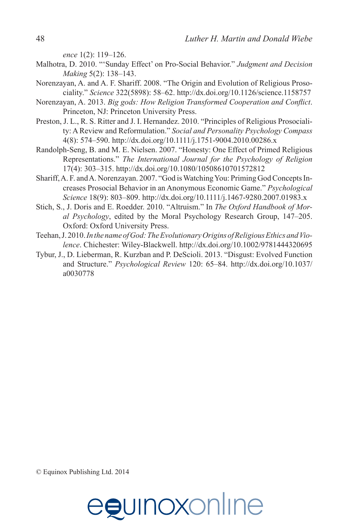*ence* 1(2): 119–126.

- Malhotra, D. 2010. "'Sunday Effect' on Pro-Social Behavior." *Judgment and Decision Making* 5(2): 138–143.
- Norenzayan, A. and A. F. Shariff. 2008. "The Origin and Evolution of Religious Prosociality." *Science* 322(5898): 58–62.<http://dx.doi.org/10.1126/science.1158757>
- Norenzayan, A. 2013. *Big gods: How Religion Transformed Cooperation and Conflict*. Princeton, NJ: Princeton University Press.
- Preston, J. L., R. S. Ritter and J. I. Hernandez. 2010. "Principles of Religious Prosociality: A Review and Reformulation." *Social and Personality Psychology Compass* 4(8): 574–590.<http://dx.doi.org/10.1111/j.1751-9004.2010.00286.x>
- Randolph-Seng, B. and M. E. Nielsen. 2007. "Honesty: One Effect of Primed Religious Representations." *The International Journal for the Psychology of Religion* 17(4): 303–315.<http://dx.doi.org/10.1080/10508610701572812>
- Shariff, A. F. and A. Norenzayan. 2007. "God is Watching You: Priming God Concepts Increases Prosocial Behavior in an Anonymous Economic Game." *Psychological Science* 18(9): 803–809.<http://dx.doi.org/10.1111/j.1467-9280.2007.01983.x>
- Stich, S., J. Doris and E. Roedder. 2010. "Altruism." In *The Oxford Handbook of Moral Psychology*, edited by the Moral Psychology Research Group, 147–205. Oxford: Oxford University Press.
- Teehan, J. 2010. *In the name of God: The Evolutionary Origins of Religious Ethics and Violence*. Chichester: Wiley-Blackwell. [http://dx.doi.org/10.1002/9781444320695](http://dx.doi.org/10.1002/9781444320695 )
- Tybur, J., D. Lieberman, R. Kurzban and P. DeScioli. 2013. "Disgust: Evolved Function and Structure." *Psychological Review* 120: 65–84. [http://dx.doi.org/10.1037/](http://dx.doi.org/10.1037/a0030778) [a0030778](http://dx.doi.org/10.1037/a0030778)

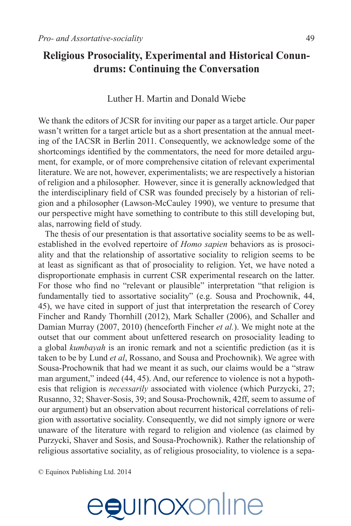### **Religious Prosociality, Experimental and Historical Conundrums: Continuing the Conversation**

#### Luther H. Martin and Donald Wiebe

We thank the editors of JCSR for inviting our paper as a target article. Our paper wasn't written for a target article but as a short presentation at the annual meeting of the IACSR in Berlin 2011. Consequently, we acknowledge some of the shortcomings identified by the commentators, the need for more detailed argument, for example, or of more comprehensive citation of relevant experimental literature. We are not, however, experimentalists; we are respectively a historian of religion and a philosopher. However, since it is generally acknowledged that the interdisciplinary field of CSR was founded precisely by a historian of religion and a philosopher (Lawson-McCauley 1990), we venture to presume that our perspective might have something to contribute to this still developing but, alas, narrowing field of study.

The thesis of our presentation is that assortative sociality seems to be as wellestablished in the evolved repertoire of *Homo sapien* behaviors as is prosociality and that the relationship of assortative sociality to religion seems to be at least as significant as that of prosociality to religion. Yet, we have noted a disproportionate emphasis in current CSR experimental research on the latter. For those who find no "relevant or plausible" interpretation "that religion is fundamentally tied to assortative sociality" (e.g. Sousa and Prochownik, 44, 45), we have cited in support of just that interpretation the research of Corey Fincher and Randy Thornhill (2012), Mark Schaller (2006), and Schaller and Damian Murray (2007, 2010) (henceforth Fincher *et al.*). We might note at the outset that our comment about unfettered research on prosociality leading to a global *kumbayah* is an ironic remark and not a scientific prediction (as it is taken to be by Lund *et al*, Rossano, and Sousa and Prochownik). We agree with Sousa-Prochownik that had we meant it as such, our claims would be a "straw man argument," indeed (44, 45). And, our reference to violence is not a hypothesis that religion is *necessarily* associated with violence (which Purzycki, 27; Rusanno, 32; Shaver-Sosis, 39; and Sousa-Prochownik, 42ff, seem to assume of our argument) but an observation about recurrent historical correlations of religion with assortative sociality. Consequently, we did not simply ignore or were unaware of the literature with regard to religion and violence (as claimed by Purzycki, Shaver and Sosis, and Sousa-Prochownik). Rather the relationship of religious assortative sociality, as of religious prosociality, to violence is a sepa-

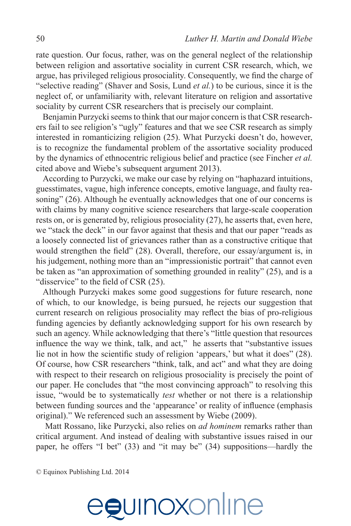rate question. Our focus, rather, was on the general neglect of the relationship between religion and assortative sociality in current CSR research, which, we argue, has privileged religious prosociality. Consequently, we find the charge of "selective reading" (Shaver and Sosis, Lund *et al.*) to be curious, since it is the neglect of, or unfamiliarity with, relevant literature on religion and assortative sociality by current CSR researchers that is precisely our complaint.

Benjamin Purzycki seems to think that our major concern is that CSR researchers fail to see religion's "ugly" features and that we see CSR research as simply interested in romanticizing religion (25). What Purzycki doesn't do, however, is to recognize the fundamental problem of the assortative sociality produced by the dynamics of ethnocentric religious belief and practice (see Fincher *et al.* cited above and Wiebe's subsequent argument 2013).

According to Purzycki, we make our case by relying on "haphazard intuitions, guesstimates, vague, high inference concepts, emotive language, and faulty reasoning" (26). Although he eventually acknowledges that one of our concerns is with claims by many cognitive science researchers that large-scale cooperation rests on, or is generated by, religious prosociality (27), he asserts that, even here, we "stack the deck" in our favor against that thesis and that our paper "reads as a loosely connected list of grievances rather than as a constructive critique that would strengthen the field" (28). Overall, therefore, our essay/argument is, in his judgement, nothing more than an "impressionistic portrait" that cannot even be taken as "an approximation of something grounded in reality" (25), and is a "disservice" to the field of CSR (25).

Although Purzycki makes some good suggestions for future research, none of which, to our knowledge, is being pursued, he rejects our suggestion that current research on religious prosociality may reflect the bias of pro-religious funding agencies by defiantly acknowledging support for his own research by such an agency. While acknowledging that there's "little question that resources influence the way we think, talk, and act," he asserts that "substantive issues lie not in how the scientific study of religion 'appears,' but what it does" (28). Of course, how CSR researchers "think, talk, and act" and what they are doing with respect to their research on religious prosociality is precisely the point of our paper. He concludes that "the most convincing approach" to resolving this issue, "would be to systematically *test* whether or not there is a relationship between funding sources and the 'appearance' or reality of influence (emphasis original)." We referenced such an assessment by Wiebe (2009).

 Matt Rossano, like Purzycki, also relies on *ad hominem* remarks rather than critical argument. And instead of dealing with substantive issues raised in our paper, he offers "I bet" (33) and "it may be" (34) suppositions—hardly the

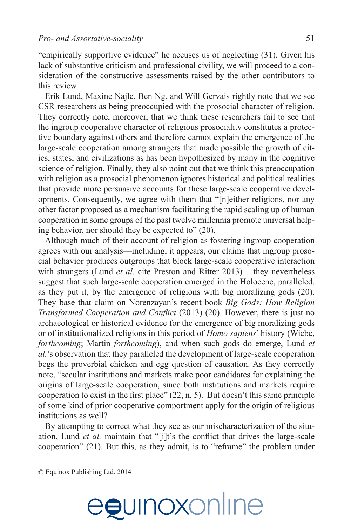"empirically supportive evidence" he accuses us of neglecting (31). Given his lack of substantive criticism and professional civility, we will proceed to a consideration of the constructive assessments raised by the other contributors to this review.

Erik Lund, Maxine Najle, Ben Ng, and Will Gervais rightly note that we see CSR researchers as being preoccupied with the prosocial character of religion. They correctly note, moreover, that we think these researchers fail to see that the ingroup cooperative character of religious prosociality constitutes a protective boundary against others and therefore cannot explain the emergence of the large-scale cooperation among strangers that made possible the growth of cities, states, and civilizations as has been hypothesized by many in the cognitive science of religion. Finally, they also point out that we think this preoccupation with religion as a prosocial phenomenon ignores historical and political realities that provide more persuasive accounts for these large-scale cooperative developments. Consequently, we agree with them that "[n]either religions, nor any other factor proposed as a mechanism facilitating the rapid scaling up of human cooperation in some groups of the past twelve millennia promote universal helping behavior, nor should they be expected to" (20).

Although much of their account of religion as fostering ingroup cooperation agrees with our analysis—including, it appears, our claims that ingroup prosocial behavior produces outgroups that block large-scale cooperative interaction with strangers (Lund *et al.* cite Preston and Ritter 2013) – they nevertheless suggest that such large-scale cooperation emerged in the Holocene, paralleled, as they put it, by the emergence of religions with big moralizing gods (20). They base that claim on Norenzayan's recent book *Big Gods: How Religion Transformed Cooperation and Conflict* (2013) (20). However, there is just no archaeological or historical evidence for the emergence of big moralizing gods or of institutionalized religions in this period of *Homo sapiens*' history (Wiebe, *forthcoming*; Martin *forthcoming*), and when such gods do emerge, Lund *et al.*'s observation that they paralleled the development of large-scale cooperation begs the proverbial chicken and egg question of causation. As they correctly note, "secular institutions and markets make poor candidates for explaining the origins of large-scale cooperation, since both institutions and markets require cooperation to exist in the first place" (22, n. 5). But doesn't this same principle of some kind of prior cooperative comportment apply for the origin of religious institutions as well?

By attempting to correct what they see as our mischaracterization of the situation, Lund *et al.* maintain that "[i]t's the conflict that drives the large-scale cooperation" (21). But this, as they admit, is to "reframe" the problem under

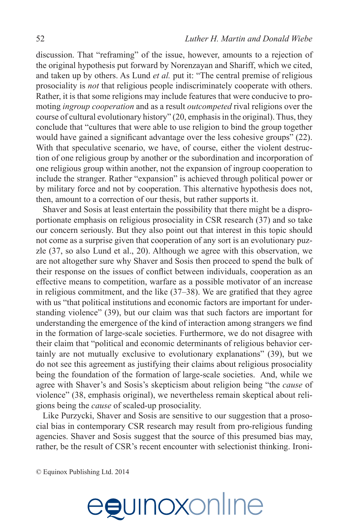discussion. That "reframing" of the issue, however, amounts to a rejection of the original hypothesis put forward by Norenzayan and Shariff, which we cited, and taken up by others. As Lund *et al.* put it: "The central premise of religious prosociality is *not* that religious people indiscriminately cooperate with others. Rather, it is that some religions may include features that were conducive to promoting *ingroup cooperation* and as a result *outcompeted* rival religions over the course of cultural evolutionary history" (20, emphasis in the original). Thus, they conclude that "cultures that were able to use religion to bind the group together would have gained a significant advantage over the less cohesive groups" (22). With that speculative scenario, we have, of course, either the violent destruction of one religious group by another or the subordination and incorporation of one religious group within another, not the expansion of ingroup cooperation to include the stranger. Rather "expansion" is achieved through political power or by military force and not by cooperation. This alternative hypothesis does not, then, amount to a correction of our thesis, but rather supports it.

Shaver and Sosis at least entertain the possibility that there might be a disproportionate emphasis on religious prosociality in CSR research (37) and so take our concern seriously. But they also point out that interest in this topic should not come as a surprise given that cooperation of any sort is an evolutionary puzzle (37, so also Lund et al., 20). Although we agree with this observation, we are not altogether sure why Shaver and Sosis then proceed to spend the bulk of their response on the issues of conflict between individuals, cooperation as an effective means to competition, warfare as a possible motivator of an increase in religious commitment, and the like (37–38). We are gratified that they agree with us "that political institutions and economic factors are important for understanding violence" (39), but our claim was that such factors are important for understanding the emergence of the kind of interaction among strangers we find in the formation of large-scale societies. Furthermore, we do not disagree with their claim that "political and economic determinants of religious behavior certainly are not mutually exclusive to evolutionary explanations" (39), but we do not see this agreement as justifying their claims about religious prosociality being the foundation of the formation of large-scale societies. And, while we agree with Shaver's and Sosis's skepticism about religion being "the *cause* of violence" (38, emphasis original), we nevertheless remain skeptical about religions being the *cause* of scaled-up prosociality.

Like Purzycki, Shaver and Sosis are sensitive to our suggestion that a prosocial bias in contemporary CSR research may result from pro-religious funding agencies. Shaver and Sosis suggest that the source of this presumed bias may, rather, be the result of CSR's recent encounter with selectionist thinking. Ironi-

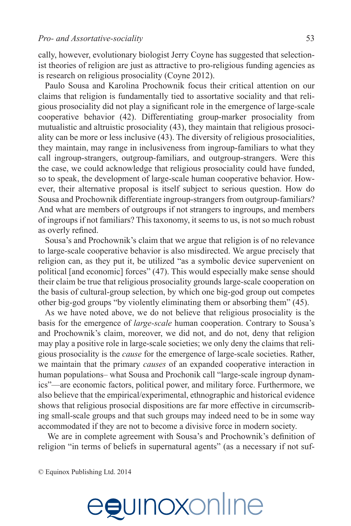cally, however, evolutionary biologist Jerry Coyne has suggested that selectionist theories of religion are just as attractive to pro-religious funding agencies as is research on religious prosociality (Coyne 2012).

Paulo Sousa and Karolina Prochownik focus their critical attention on our claims that religion is fundamentally tied to assortative sociality and that religious prosociality did not play a significant role in the emergence of large-scale cooperative behavior (42). Differentiating group-marker prosociality from mutualistic and altruistic prosociality (43), they maintain that religious prosociality can be more or less inclusive (43). The diversity of religious prosocialities, they maintain, may range in inclusiveness from ingroup-familiars to what they call ingroup-strangers, outgroup-familiars, and outgroup-strangers. Were this the case, we could acknowledge that religious prosociality could have funded, so to speak, the development of large-scale human cooperative behavior. However, their alternative proposal is itself subject to serious question. How do Sousa and Prochownik differentiate ingroup-strangers from outgroup-familiars? And what are members of outgroups if not strangers to ingroups, and members of ingroups if not familiars? This taxonomy, it seems to us, is not so much robust as overly refined.

Sousa's and Prochownik's claim that we argue that religion is of no relevance to large-scale cooperative behavior is also misdirected. We argue precisely that religion can, as they put it, be utilized "as a symbolic device supervenient on political [and economic] forces" (47). This would especially make sense should their claim be true that religious prosociality grounds large-scale cooperation on the basis of cultural-group selection, by which one big-god group out competes other big-god groups "by violently eliminating them or absorbing them" (45).

As we have noted above, we do not believe that religious prosociality is the basis for the emergence of *large-scale* human cooperation. Contrary to Sousa's and Prochownik's claim, moreover, we did not, and do not, deny that religion may play a positive role in large-scale societies; we only deny the claims that religious prosociality is the *cause* for the emergence of large-scale societies. Rather, we maintain that the primary *causes* of an expanded cooperative interaction in human populations– what Sousa and Prochonik call "large-scale ingroup dynamics"—are economic factors, political power, and military force. Furthermore, we also believe that the empirical/experimental, ethnographic and historical evidence shows that religious prosocial dispositions are far more effective in circumscribing small-scale groups and that such groups may indeed need to be in some way accommodated if they are not to become a divisive force in modern society.

 We are in complete agreement with Sousa's and Prochownik's definition of religion "in terms of beliefs in supernatural agents" (as a necessary if not suf-

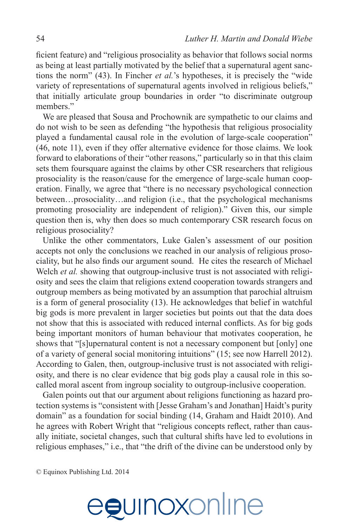ficient feature) and "religious prosociality as behavior that follows social norms as being at least partially motivated by the belief that a supernatural agent sanctions the norm" (43). In Fincher *et al.*'s hypotheses, it is precisely the "wide variety of representations of supernatural agents involved in religious beliefs," that initially articulate group boundaries in order "to discriminate outgroup members."

We are pleased that Sousa and Prochownik are sympathetic to our claims and do not wish to be seen as defending "the hypothesis that religious prosociality played a fundamental causal role in the evolution of large-scale cooperation" (46, note 11), even if they offer alternative evidence for those claims. We look forward to elaborations of their "other reasons," particularly so in that this claim sets them foursquare against the claims by other CSR researchers that religious prosociality is the reason/cause for the emergence of large-scale human cooperation. Finally, we agree that "there is no necessary psychological connection between…prosociality…and religion (i.e., that the psychological mechanisms promoting prosociality are independent of religion)." Given this, our simple question then is, why then does so much contemporary CSR research focus on religious prosociality?

Unlike the other commentators, Luke Galen's assessment of our position accepts not only the conclusions we reached in our analysis of religious prosociality, but he also finds our argument sound. He cites the research of Michael Welch *et al.* showing that outgroup-inclusive trust is not associated with religiosity and sees the claim that religions extend cooperation towards strangers and outgroup members as being motivated by an assumption that parochial altruism is a form of general prosociality (13). He acknowledges that belief in watchful big gods is more prevalent in larger societies but points out that the data does not show that this is associated with reduced internal conflicts. As for big gods being important monitors of human behaviour that motivates cooperation, he shows that "[s]upernatural content is not a necessary component but [only] one of a variety of general social monitoring intuitions" (15; see now Harrell 2012). According to Galen, then, outgroup-inclusive trust is not associated with religiosity, and there is no clear evidence that big gods play a causal role in this socalled moral ascent from ingroup sociality to outgroup-inclusive cooperation.

Galen points out that our argument about religions functioning as hazard protection systems is "consistent with [Jesse Graham's and Jonathan] Haidt's purity domain" as a foundation for social binding (14, Graham and Haidt 2010). And he agrees with Robert Wright that "religious concepts reflect, rather than causally initiate, societal changes, such that cultural shifts have led to evolutions in religious emphases," i.e., that "the drift of the divine can be understood only by

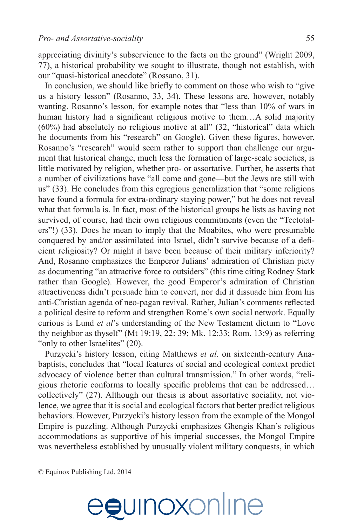appreciating divinity's subservience to the facts on the ground" (Wright 2009, 77), a historical probability we sought to illustrate, though not establish, with our "quasi-historical anecdote" (Rossano, 31).

In conclusion, we should like briefly to comment on those who wish to "give us a history lesson" (Rosanno, 33, 34). These lessons are, however, notably wanting. Rosanno's lesson, for example notes that "less than 10% of wars in human history had a significant religious motive to them…A solid majority (60%) had absolutely no religious motive at all" (32, "historical" data which he documents from his "research" on Google). Given these figures, however, Rosanno's "research" would seem rather to support than challenge our argument that historical change, much less the formation of large-scale societies, is little motivated by religion, whether pro- or assortative. Further, he asserts that a number of civilizations have "all come and gone—but the Jews are still with us" (33). He concludes from this egregious generalization that "some religions have found a formula for extra-ordinary staying power," but he does not reveal what that formula is. In fact, most of the historical groups he lists as having not survived, of course, had their own religious commitments (even the "Teetotalers"!) (33). Does he mean to imply that the Moabites, who were presumable conquered by and/or assimilated into Israel, didn't survive because of a deficient religiosity? Or might it have been because of their military inferiority? And, Rosanno emphasizes the Emperor Julians' admiration of Christian piety as documenting "an attractive force to outsiders" (this time citing Rodney Stark rather than Google). However, the good Emperor's admiration of Christian attractiveness didn't persuade him to convert, nor did it dissuade him from his anti-Christian agenda of neo-pagan revival. Rather, Julian's comments reflected a political desire to reform and strengthen Rome's own social network. Equally curious is Lund *et al*'s understanding of the New Testament dictum to "Love thy neighbor as thyself" (Mt 19:19, 22: 39; Mk. 12:33; Rom. 13:9) as referring "only to other Israelites" (20).

Purzycki's history lesson, citing Matthews *et al.* on sixteenth-century Anabaptists, concludes that "local features of social and ecological context predict advocacy of violence better than cultural transmission." In other words, "religious rhetoric conforms to locally specific problems that can be addressed… collectively" (27). Although our thesis is about assortative sociality, not violence, we agree that it is social and ecological factors that better predict religious behaviors. However, Purzycki's history lesson from the example of the Mongol Empire is puzzling. Although Purzycki emphasizes Ghengis Khan's religious accommodations as supportive of his imperial successes, the Mongol Empire was nevertheless established by unusually violent military conquests, in which

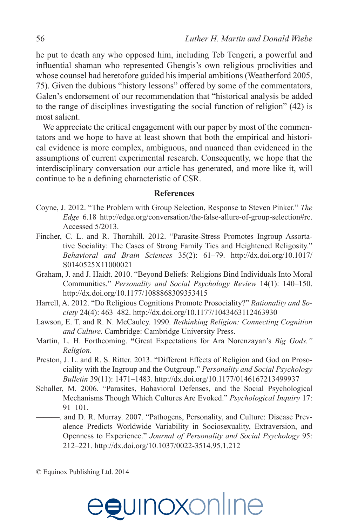he put to death any who opposed him, including Teb Tengeri, a powerful and influential shaman who represented Ghengis's own religious proclivities and whose counsel had heretofore guided his imperial ambitions (Weatherford 2005, 75). Given the dubious "history lessons" offered by some of the commentators, Galen's endorsement of our recommendation that "historical analysis be added to the range of disciplines investigating the social function of religion" (42) is most salient.

We appreciate the critical engagement with our paper by most of the commentators and we hope to have at least shown that both the empirical and historical evidence is more complex, ambiguous, and nuanced than evidenced in the assumptions of current experimental research. Consequently, we hope that the interdisciplinary conversation our article has generated, and more like it, will continue to be a defining characteristic of CSR.

#### **References**

- Coyne, J. 2012. "The Problem with Group Selection, Response to Steven Pinker." *The Edge* 6.18 http://edge.org/conversation/the-false-allure-of-group-selection#rc. Accessed 5/2013.
- Fincher, C. L. and R. Thornhill. 2012. "Parasite-Stress Promotes Ingroup Assortative Sociality: The Cases of Strong Family Ties and Heightened Religosity." *Behavioral and Brain Sciences* 35(2): 61–79. [http://dx.doi.org/10.1017/](http://dx.doi.org/10.1017/S0140525X11000021) [S0140525X11000021](http://dx.doi.org/10.1017/S0140525X11000021)
- Graham, J. and J. Haidt. 2010. "Beyond Beliefs: Religions Bind Individuals Into Moral Communities." *Personality and Social Psychology Review* 14(1): 140–150. <http://dx.doi.org/10.1177/1088868309353415>
- Harrell, A. 2012. "Do Religious Cognitions Promote Prosociality?" *Rationality and Society* 24(4): 463–482. <http://dx.doi.org/10.1177/1043463112463930>
- Lawson, E. T. and R. N. McCauley. 1990. *Rethinking Religion: Connecting Cognition and Culture.* Cambridge: Cambridge University Press.
- Martin, L. H. Forthcoming. **"**Great Expectations for Ara Norenzayan's *Big Gods." Religion*.
- Preston, J. L. and R. S. Ritter. 2013. "Different Effects of Religion and God on Prosociality with the Ingroup and the Outgroup." *Personality and Social Psychology Bulletin* 39(11): 1471–1483.<http://dx.doi.org/10.1177/0146167213499937>
- Schaller, M. 2006. "Parasites, Bahavioral Defenses, and the Social Psychological Mechanisms Though Which Cultures Are Evoked." *Psychological Inquiry* 17: 91–101.
- ———. and D. R. Murray. 2007. "Pathogens, Personality, and Culture: Disease Prevalence Predicts Worldwide Variability in Sociosexuality, Extraversion, and Openness to Experience." *Journal of Personality and Social Psychology* 95: 212–221. <http://dx.doi.org/10.1037/0022-3514.95.1.212>

© Equinox Publishing Ltd. 2014

### egunoxonline